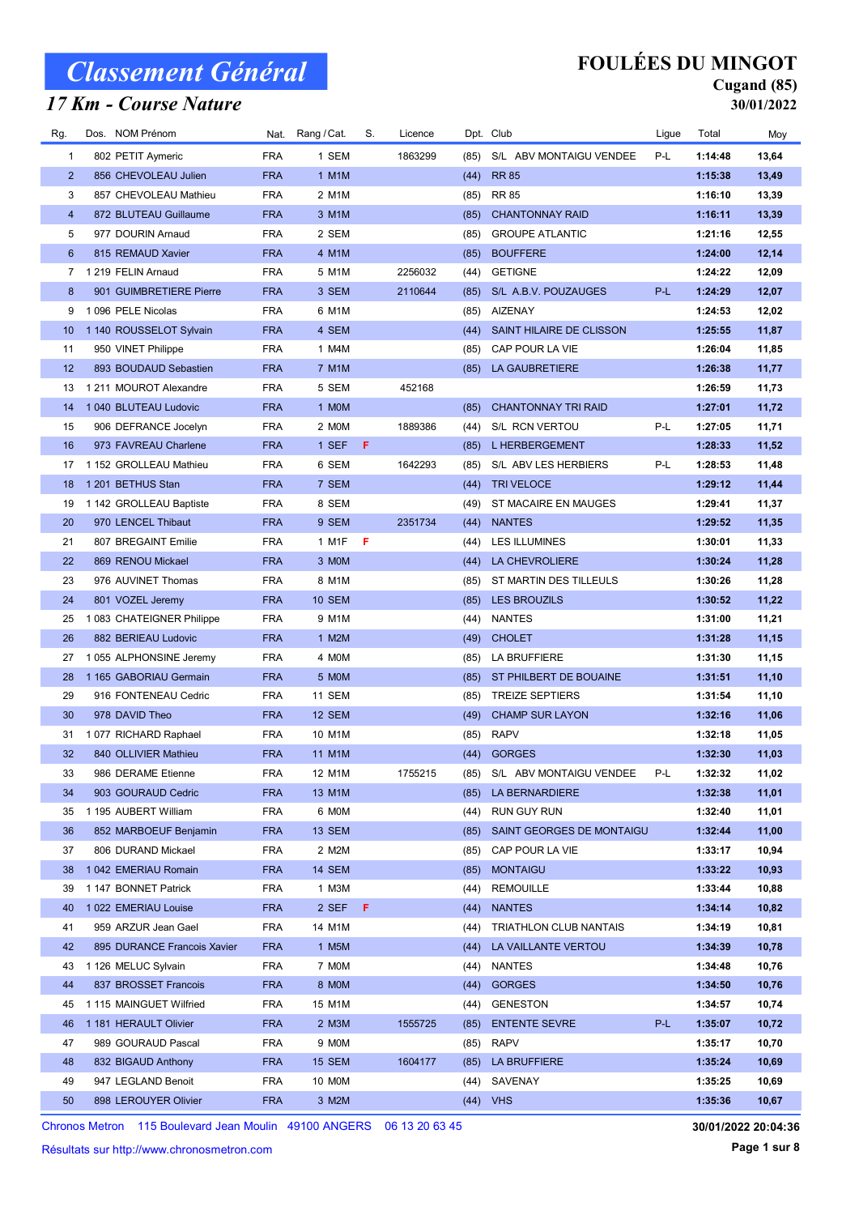### 17 Km - Course Nature

## FOULÉES DU MINGOT

## Cugand (85)

| Rg.             | Dos. NOM Prénom             | Nat.       | Rang / Cat.   | S. | Licence |      | Dpt. Club                    | Ligue | Total   | Moy   |
|-----------------|-----------------------------|------------|---------------|----|---------|------|------------------------------|-------|---------|-------|
| 1               | 802 PETIT Aymeric           | <b>FRA</b> | 1 SEM         |    | 1863299 | (85) | S/L ABV MONTAIGU VENDEE      | P-L   | 1:14:48 | 13,64 |
| $\overline{2}$  | 856 CHEVOLEAU Julien        | <b>FRA</b> | 1 M1M         |    |         | (44) | <b>RR 85</b>                 |       | 1:15:38 | 13,49 |
| 3               | 857 CHEVOLEAU Mathieu       | <b>FRA</b> | 2 M1M         |    |         | (85) | <b>RR 85</b>                 |       | 1:16:10 | 13,39 |
| $\overline{4}$  | 872 BLUTEAU Guillaume       | <b>FRA</b> | 3 M1M         |    |         | (85) | <b>CHANTONNAY RAID</b>       |       | 1:16:11 | 13,39 |
| 5               | 977 DOURIN Arnaud           | <b>FRA</b> | 2 SEM         |    |         | (85) | <b>GROUPE ATLANTIC</b>       |       | 1:21:16 | 12,55 |
| 6               | 815 REMAUD Xavier           | <b>FRA</b> | 4 M1M         |    |         | (85) | <b>BOUFFERE</b>              |       | 1:24:00 | 12,14 |
| $\mathbf{7}$    | 1 219 FELIN Arnaud          | <b>FRA</b> | 5 M1M         |    | 2256032 | (44) | <b>GETIGNE</b>               |       | 1:24:22 | 12,09 |
| 8               | 901 GUIMBRETIERE Pierre     | <b>FRA</b> | 3 SEM         |    | 2110644 | (85) | S/L A.B.V. POUZAUGES         | P-L   | 1:24:29 | 12,07 |
| 9               | 1 096 PELE Nicolas          | FRA        | 6 M1M         |    |         | (85) | <b>AIZENAY</b>               |       | 1:24:53 | 12,02 |
| 10 <sup>°</sup> | 1 140 ROUSSELOT Sylvain     | <b>FRA</b> | 4 SEM         |    |         | (44) | SAINT HILAIRE DE CLISSON     |       | 1:25:55 | 11,87 |
| 11              | 950 VINET Philippe          | FRA        | 1 M4M         |    |         | (85) | CAP POUR LA VIE              |       | 1:26:04 | 11,85 |
| 12              | 893 BOUDAUD Sebastien       | <b>FRA</b> | 7 M1M         |    |         |      | (85) LA GAUBRETIERE          |       | 1:26:38 | 11,77 |
| 13              | 1 211 MOUROT Alexandre      | <b>FRA</b> | 5 SEM         |    | 452168  |      |                              |       | 1:26:59 | 11,73 |
| 14              | 1 040 BLUTEAU Ludovic       | <b>FRA</b> | 1 MOM         |    |         | (85) | <b>CHANTONNAY TRI RAID</b>   |       | 1:27:01 | 11,72 |
| 15              | 906 DEFRANCE Jocelyn        | <b>FRA</b> | 2 MOM         |    | 1889386 | (44) | S/L RCN VERTOU               | P-L   | 1:27:05 | 11,71 |
| 16              | 973 FAVREAU Charlene        | <b>FRA</b> | 1 SEF         | F. |         | (85) | <b>L HERBERGEMENT</b>        |       | 1:28:33 | 11,52 |
| 17              | 1 152 GROLLEAU Mathieu      | <b>FRA</b> | 6 SEM         |    | 1642293 | (85) | S/L ABV LES HERBIERS         | P-L   | 1:28:53 | 11,48 |
| 18              | 1 201 BETHUS Stan           | <b>FRA</b> | 7 SEM         |    |         | (44) | TRI VELOCE                   |       | 1:29:12 | 11,44 |
| 19              | 1 142 GROLLEAU Baptiste     | <b>FRA</b> | 8 SEM         |    |         | (49) | ST MACAIRE EN MAUGES         |       | 1:29:41 | 11,37 |
| 20              | 970 LENCEL Thibaut          | <b>FRA</b> | 9 SEM         |    | 2351734 | (44) | <b>NANTES</b>                |       | 1:29:52 | 11,35 |
| 21              | 807 BREGAINT Emilie         | FRA        | 1 M1F         | F  |         | (44) | LES ILLUMINES                |       | 1:30:01 | 11,33 |
| 22              | 869 RENOU Mickael           | <b>FRA</b> | 3 MOM         |    |         | (44) | LA CHEVROLIERE               |       | 1:30:24 | 11,28 |
| 23              | 976 AUVINET Thomas          | <b>FRA</b> | 8 M1M         |    |         | (85) | ST MARTIN DES TILLEULS       |       | 1:30:26 | 11,28 |
| 24              | 801 VOZEL Jeremy            | <b>FRA</b> | <b>10 SEM</b> |    |         | (85) | <b>LES BROUZILS</b>          |       | 1:30:52 | 11,22 |
| 25              | 1083 CHATEIGNER Philippe    | <b>FRA</b> | 9 M1M         |    |         | (44) | <b>NANTES</b>                |       | 1:31:00 | 11,21 |
| 26              | 882 BERIEAU Ludovic         | <b>FRA</b> | 1 M2M         |    |         | (49) | <b>CHOLET</b>                |       | 1:31:28 | 11,15 |
| 27              | 1 055 ALPHONSINE Jeremy     | <b>FRA</b> | 4 MOM         |    |         | (85) | LA BRUFFIERE                 |       | 1:31:30 | 11,15 |
| 28              | 1 165 GABORIAU Germain      | <b>FRA</b> | 5 MOM         |    |         | (85) | ST PHILBERT DE BOUAINE       |       | 1:31:51 | 11,10 |
| 29              | 916 FONTENEAU Cedric        | <b>FRA</b> | 11 SEM        |    |         | (85) | <b>TREIZE SEPTIERS</b>       |       | 1:31:54 | 11,10 |
| 30              | 978 DAVID Theo              | <b>FRA</b> | 12 SEM        |    |         | (49) | <b>CHAMP SUR LAYON</b>       |       | 1:32:16 | 11,06 |
| 31              | 1077 RICHARD Raphael        | FRA        | 10 M1M        |    |         |      | (85) RAPV                    |       | 1:32:18 | 11,05 |
| 32              | 840 OLLIVIER Mathieu        | <b>FRA</b> | 11 M1M        |    |         |      | (44) GORGES                  |       | 1:32:30 | 11,03 |
| 33              | 986 DERAME Etienne          | <b>FRA</b> | 12 M1M        |    | 1755215 |      | (85) S/L ABV MONTAIGU VENDEE | P-L   | 1:32:32 | 11,02 |
| 34              | 903 GOURAUD Cedric          | <b>FRA</b> | 13 M1M        |    |         |      | (85) LA BERNARDIERE          |       | 1:32:38 | 11,01 |
| 35              | 1 195 AUBERT William        | FRA        | 6 MOM         |    |         | (44) | RUN GUY RUN                  |       | 1:32:40 | 11,01 |
| 36              | 852 MARBOEUF Benjamin       | <b>FRA</b> | 13 SEM        |    |         | (85) | SAINT GEORGES DE MONTAIGU    |       | 1:32:44 | 11,00 |
| 37              | 806 DURAND Mickael          | <b>FRA</b> | 2 M2M         |    |         | (85) | CAP POUR LA VIE              |       | 1:33:17 | 10,94 |
| 38              | 1 042 EMERIAU Romain        | <b>FRA</b> | 14 SEM        |    |         | (85) | <b>MONTAIGU</b>              |       | 1:33:22 | 10,93 |
| 39              | 1 147 BONNET Patrick        | FRA        | 1 M3M         |    |         | (44) | <b>REMOUILLE</b>             |       | 1:33:44 | 10,88 |
| 40              | 1022 EMERIAU Louise         | <b>FRA</b> | 2 SEF         | F. |         | (44) | <b>NANTES</b>                |       | 1:34:14 | 10,82 |
| 41              | 959 ARZUR Jean Gael         | FRA        | 14 M1M        |    |         | (44) | TRIATHLON CLUB NANTAIS       |       | 1:34:19 | 10,81 |
| 42              | 895 DURANCE Francois Xavier | <b>FRA</b> | 1 M5M         |    |         | (44) | LA VAILLANTE VERTOU          |       | 1:34:39 | 10,78 |
| 43              | 1 126 MELUC Sylvain         | FRA        | 7 MOM         |    |         | (44) | NANTES                       |       | 1:34:48 | 10,76 |
| 44              | 837 BROSSET Francois        | <b>FRA</b> | 8 MOM         |    |         | (44) | <b>GORGES</b>                |       | 1:34:50 | 10,76 |
| 45              | 1 115 MAINGUET Wilfried     | FRA        | 15 M1M        |    |         | (44) | <b>GENESTON</b>              |       | 1:34:57 | 10,74 |
| 46              | 1 181 HERAULT Olivier       | <b>FRA</b> | 2 M3M         |    | 1555725 | (85) | <b>ENTENTE SEVRE</b>         | P-L   | 1:35:07 | 10,72 |
| 47              | 989 GOURAUD Pascal          | FRA        | 9 MOM         |    |         | (85) | <b>RAPV</b>                  |       | 1:35:17 | 10,70 |
| 48              | 832 BIGAUD Anthony          | <b>FRA</b> | <b>15 SEM</b> |    | 1604177 | (85) | LA BRUFFIERE                 |       | 1:35:24 | 10,69 |
| 49              | 947 LEGLAND Benoit          | FRA        | 10 M0M        |    |         | (44) | SAVENAY                      |       | 1:35:25 | 10,69 |
| 50              | 898 LEROUYER Olivier        | <b>FRA</b> | 3 M2M         |    |         |      | (44) VHS                     |       | 1:35:36 | 10,67 |
|                 |                             |            |               |    |         |      |                              |       |         |       |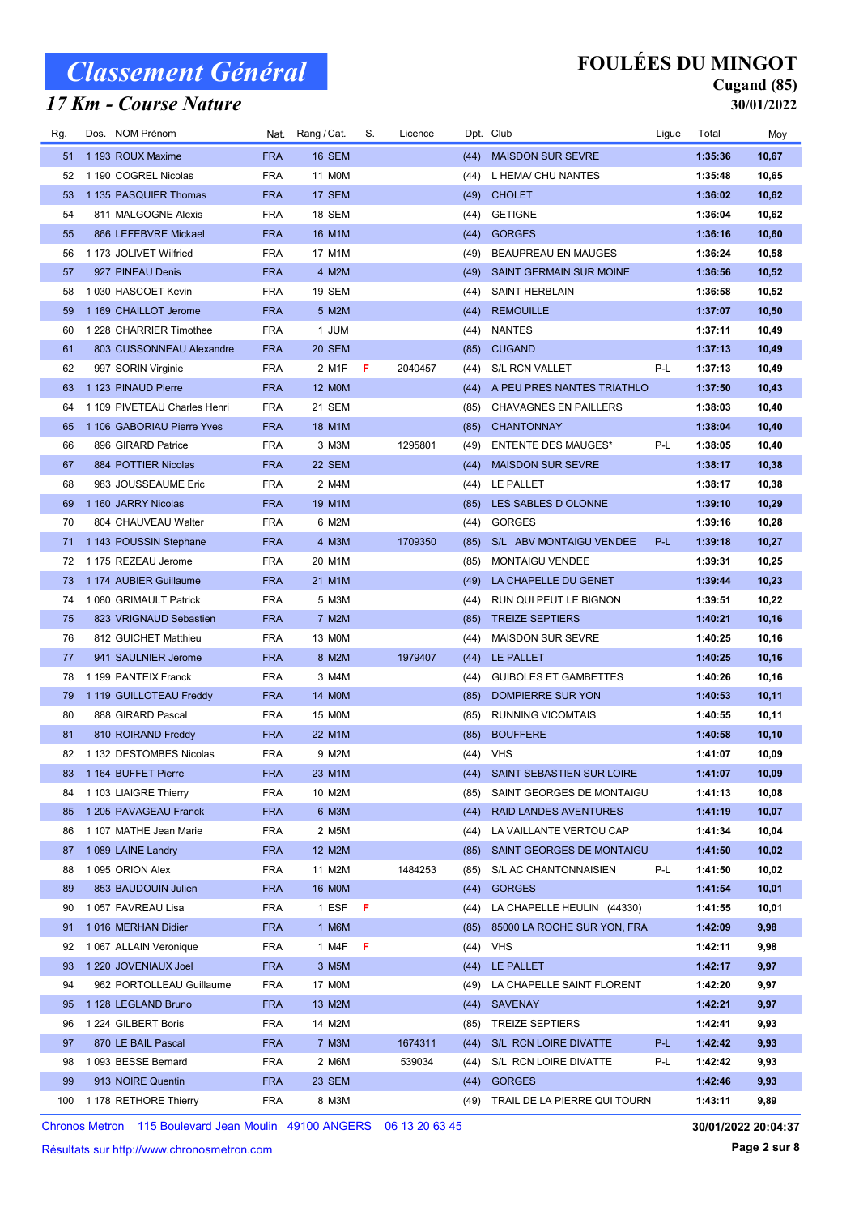### 17 Km - Course Nature

### FOULÉES DU MINGOT

#### Cugand (85) 30/01/2022

| Rg. | Dos. NOM Prénom              |            | Nat. Rang / Cat. | S. | Licence |      | Dpt. Club                       | Ligue | Total   | Moy    |
|-----|------------------------------|------------|------------------|----|---------|------|---------------------------------|-------|---------|--------|
| 51  | 1 193 ROUX Maxime            | <b>FRA</b> | 16 SEM           |    |         | (44) | <b>MAISDON SUR SEVRE</b>        |       | 1:35:36 | 10,67  |
| 52  | 1 190 COGREL Nicolas         | <b>FRA</b> | 11 M0M           |    |         | (44) | L HEMA/ CHU NANTES              |       | 1:35:48 | 10,65  |
| 53  | 1 135 PASQUIER Thomas        | <b>FRA</b> | 17 SEM           |    |         | (49) | <b>CHOLET</b>                   |       | 1:36:02 | 10,62  |
| 54  | 811 MALGOGNE Alexis          | <b>FRA</b> | 18 SEM           |    |         | (44) | <b>GETIGNE</b>                  |       | 1:36:04 | 10,62  |
| 55  | 866 LEFEBVRE Mickael         | <b>FRA</b> | 16 M1M           |    |         | (44) | <b>GORGES</b>                   |       | 1:36:16 | 10,60  |
| 56  | 1 173 JOLIVET Wilfried       | <b>FRA</b> | 17 M1M           |    |         | (49) | <b>BEAUPREAU EN MAUGES</b>      |       | 1:36:24 | 10,58  |
| 57  | 927 PINEAU Denis             | <b>FRA</b> | 4 M2M            |    |         | (49) | <b>SAINT GERMAIN SUR MOINE</b>  |       | 1:36:56 | 10,52  |
| 58  | 1030 HASCOET Kevin           | <b>FRA</b> | 19 SEM           |    |         | (44) | <b>SAINT HERBLAIN</b>           |       | 1:36:58 | 10,52  |
| 59  | 1 169 CHAILLOT Jerome        | <b>FRA</b> | 5 M2M            |    |         | (44) | <b>REMOUILLE</b>                |       | 1:37:07 | 10,50  |
| 60  | 1 228 CHARRIER Timothee      | <b>FRA</b> | 1 JUM            |    |         | (44) | <b>NANTES</b>                   |       | 1:37:11 | 10,49  |
| 61  | 803 CUSSONNEAU Alexandre     | <b>FRA</b> | 20 SEM           |    |         | (85) | <b>CUGAND</b>                   |       | 1:37:13 | 10,49  |
| 62  | 997 SORIN Virginie           | <b>FRA</b> | 2 M1F            | F  | 2040457 | (44) | <b>S/L RCN VALLET</b>           | P-L   | 1:37:13 | 10,49  |
| 63  | 1 123 PINAUD Pierre          | <b>FRA</b> | <b>12 MOM</b>    |    |         |      | (44) A PEU PRES NANTES TRIATHLO |       | 1:37:50 | 10,43  |
| 64  | 1 109 PIVETEAU Charles Henri | <b>FRA</b> | 21 SEM           |    |         | (85) | <b>CHAVAGNES EN PAILLERS</b>    |       | 1:38:03 | 10,40  |
| 65  | 1 106 GABORIAU Pierre Yves   | <b>FRA</b> | 18 M1M           |    |         | (85) | <b>CHANTONNAY</b>               |       | 1:38:04 | 10,40  |
| 66  | 896 GIRARD Patrice           | <b>FRA</b> | 3 M3M            |    | 1295801 | (49) | <b>ENTENTE DES MAUGES*</b>      | P-L   | 1:38:05 | 10,40  |
| 67  | 884 POTTIER Nicolas          | <b>FRA</b> | 22 SEM           |    |         | (44) | <b>MAISDON SUR SEVRE</b>        |       | 1:38:17 | 10,38  |
| 68  | 983 JOUSSEAUME Eric          | <b>FRA</b> | 2 M4M            |    |         | (44) | LE PALLET                       |       | 1:38:17 | 10,38  |
| 69  | 1 160 JARRY Nicolas          | <b>FRA</b> | 19 M1M           |    |         | (85) | LES SABLES D OLONNE             |       | 1:39:10 | 10,29  |
| 70  | 804 CHAUVEAU Walter          | <b>FRA</b> | 6 M2M            |    |         | (44) | GORGES                          |       | 1:39:16 | 10,28  |
| 71  | 1 143 POUSSIN Stephane       | <b>FRA</b> | 4 M3M            |    | 1709350 | (85) | S/L ABV MONTAIGU VENDEE         | P-L   | 1:39:18 | 10,27  |
| 72  | 1 175 REZEAU Jerome          | <b>FRA</b> | 20 M1M           |    |         | (85) | MONTAIGU VENDEE                 |       | 1:39:31 | 10,25  |
| 73  | 1 174 AUBIER Guillaume       | <b>FRA</b> | 21 M1M           |    |         | (49) | LA CHAPELLE DU GENET            |       | 1:39:44 | 10,23  |
| 74  | 1080 GRIMAULT Patrick        | <b>FRA</b> | 5 M3M            |    |         | (44) | RUN QUI PEUT LE BIGNON          |       | 1:39:51 | 10,22  |
| 75  | 823 VRIGNAUD Sebastien       | <b>FRA</b> | 7 M2M            |    |         | (85) | <b>TREIZE SEPTIERS</b>          |       | 1:40:21 | 10,16  |
| 76  | 812 GUICHET Matthieu         | <b>FRA</b> | 13 MOM           |    |         | (44) | <b>MAISDON SUR SEVRE</b>        |       | 1:40:25 | 10,16  |
| 77  | 941 SAULNIER Jerome          | <b>FRA</b> | 8 M2M            |    | 1979407 | (44) | LE PALLET                       |       | 1:40:25 | 10,16  |
| 78  | 1 199 PANTEIX Franck         | <b>FRA</b> | 3 M4M            |    |         | (44) | <b>GUIBOLES ET GAMBETTES</b>    |       | 1:40:26 | 10,16  |
| 79  | 1 119 GUILLOTEAU Freddy      | <b>FRA</b> | 14 M0M           |    |         | (85) | DOMPIERRE SUR YON               |       | 1:40:53 | 10,11  |
| 80  | 888 GIRARD Pascal            | <b>FRA</b> | 15 M0M           |    |         | (85) | <b>RUNNING VICOMTAIS</b>        |       | 1:40:55 | 10,11  |
| 81  | 810 ROIRAND Freddy           | <b>FRA</b> | 22 M1M           |    |         | (85) | <b>BOUFFERE</b>                 |       | 1:40:58 | 10, 10 |
| 82  | 1 132 DESTOMBES Nicolas      | <b>FRA</b> | 9 M2M            |    |         |      | $(44)$ VHS                      |       | 1:41:07 | 10,09  |
|     | 83 1 164 BUFFET Pierre       | <b>FRA</b> | 23 M1M           |    |         |      | (44) SAINT SEBASTIEN SUR LOIRE  |       | 1:41:07 | 10,09  |
| 84  | 1 103 LIAIGRE Thierry        | <b>FRA</b> | 10 M2M           |    |         | (85) | SAINT GEORGES DE MONTAIGU       |       | 1:41:13 | 10,08  |
| 85  | 1 205 PAVAGEAU Franck        | <b>FRA</b> | 6 M3M            |    |         | (44) | RAID LANDES AVENTURES           |       | 1:41:19 | 10,07  |
| 86  | 1 107 MATHE Jean Marie       | <b>FRA</b> | 2 M5M            |    |         | (44) | LA VAILLANTE VERTOU CAP         |       | 1:41:34 | 10,04  |
| 87  | 1089 LAINE Landry            | <b>FRA</b> | 12 M2M           |    |         | (85) | SAINT GEORGES DE MONTAIGU       |       | 1:41:50 | 10,02  |
| 88  | 1 095 ORION Alex             | <b>FRA</b> | 11 M2M           |    | 1484253 | (85) | S/L AC CHANTONNAISIEN           | P-L   | 1:41:50 | 10,02  |
| 89  | 853 BAUDOUIN Julien          | <b>FRA</b> | <b>16 MOM</b>    |    |         | (44) | <b>GORGES</b>                   |       | 1:41:54 | 10,01  |
| 90  | 1057 FAVREAU Lisa            | <b>FRA</b> | 1 ESF F          |    |         | (44) | LA CHAPELLE HEULIN (44330)      |       | 1:41:55 | 10,01  |
| 91  | 1016 MERHAN Didier           | <b>FRA</b> | 1 M6M            |    |         | (85) | 85000 LA ROCHE SUR YON, FRA     |       | 1:42:09 | 9,98   |
| 92  | 1 067 ALLAIN Veronique       | <b>FRA</b> | 1 M4F            | F  |         |      | (44) VHS                        |       | 1:42:11 | 9,98   |
| 93  | 1 220 JOVENIAUX Joel         | FRA        | 3 M5M            |    |         |      | (44) LE PALLET                  |       | 1:42:17 | 9,97   |
| 94  | 962 PORTOLLEAU Guillaume     | <b>FRA</b> | 17 M0M           |    |         | (49) | LA CHAPELLE SAINT FLORENT       |       | 1:42:20 | 9,97   |
| 95  | 1 128 LEGLAND Bruno          | <b>FRA</b> | 13 M2M           |    |         | (44) | SAVENAY                         |       | 1:42:21 | 9,97   |
| 96  | 1 224 GILBERT Boris          | <b>FRA</b> | 14 M2M           |    |         | (85) | <b>TREIZE SEPTIERS</b>          |       | 1:42:41 | 9,93   |
| 97  | 870 LE BAIL Pascal           | <b>FRA</b> | 7 M3M            |    | 1674311 | (44) | S/L RCN LOIRE DIVATTE           | P-L   | 1:42:42 | 9,93   |
| 98  | 1 093 BESSE Bernard          | <b>FRA</b> | 2 M6M            |    | 539034  | (44) | S/L RCN LOIRE DIVATTE           | P-L   | 1:42:42 | 9,93   |
| 99  | 913 NOIRE Quentin            | <b>FRA</b> | 23 SEM           |    |         | (44) | <b>GORGES</b>                   |       | 1:42:46 | 9,93   |
| 100 | 1 178 RETHORE Thierry        | <b>FRA</b> | 8 M3M            |    |         | (49) | TRAIL DE LA PIERRE QUI TOURN    |       | 1:43:11 | 9,89   |
|     |                              |            |                  |    |         |      |                                 |       |         |        |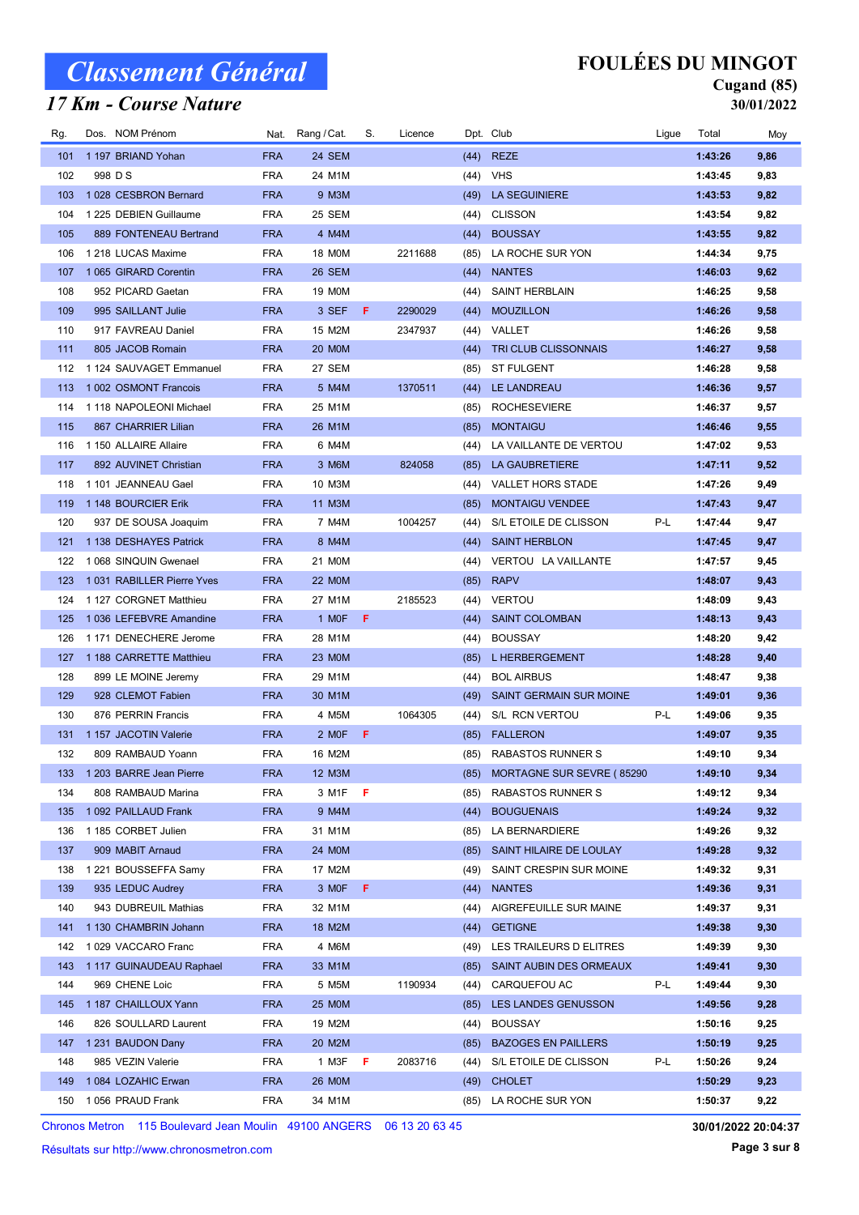### 17 Km - Course Nature

## FOULÉES DU MINGOT

#### Cugand (85) 30/01/2022

| Rg. | Dos. NOM Prénom             |            | Nat. Rang / Cat. | S. | Licence |      | Dpt. Club                      | Ligue | Total   | Moy  |
|-----|-----------------------------|------------|------------------|----|---------|------|--------------------------------|-------|---------|------|
| 101 | 1 197 BRIAND Yohan          | <b>FRA</b> | 24 SEM           |    |         |      | (44) REZE                      |       | 1:43:26 | 9,86 |
| 102 | 998 D S                     | <b>FRA</b> | 24 M1M           |    |         | (44) | VHS                            |       | 1:43:45 | 9,83 |
| 103 | 1028 CESBRON Bernard        | <b>FRA</b> | 9 M3M            |    |         | (49) | LA SEGUINIERE                  |       | 1:43:53 | 9,82 |
| 104 | 1 225 DEBIEN Guillaume      | <b>FRA</b> | 25 SEM           |    |         | (44) | <b>CLISSON</b>                 |       | 1:43:54 | 9,82 |
| 105 | 889 FONTENEAU Bertrand      | <b>FRA</b> | 4 M4M            |    |         | (44) | <b>BOUSSAY</b>                 |       | 1:43:55 | 9,82 |
| 106 | 1 218 LUCAS Maxime          | <b>FRA</b> | 18 M0M           |    | 2211688 | (85) | LA ROCHE SUR YON               |       | 1:44:34 | 9,75 |
| 107 | 1065 GIRARD Corentin        | <b>FRA</b> | <b>26 SEM</b>    |    |         | (44) | <b>NANTES</b>                  |       | 1:46:03 | 9,62 |
| 108 | 952 PICARD Gaetan           | <b>FRA</b> | 19 M0M           |    |         | (44) | <b>SAINT HERBLAIN</b>          |       | 1:46:25 | 9,58 |
| 109 | 995 SAILLANT Julie          | <b>FRA</b> | 3 SEF            | F. | 2290029 | (44) | <b>MOUZILLON</b>               |       | 1:46:26 | 9,58 |
| 110 | 917 FAVREAU Daniel          | <b>FRA</b> | 15 M2M           |    | 2347937 | (44) | VALLET                         |       | 1:46:26 | 9,58 |
| 111 | 805 JACOB Romain            | <b>FRA</b> | 20 MOM           |    |         | (44) | <b>TRI CLUB CLISSONNAIS</b>    |       | 1:46:27 | 9,58 |
| 112 | 1 124 SAUVAGET Emmanuel     | <b>FRA</b> | 27 SEM           |    |         | (85) | ST FULGENT                     |       | 1:46:28 | 9,58 |
| 113 | 1 002 OSMONT Francois       | <b>FRA</b> | 5 M4M            |    | 1370511 | (44) | LE LANDREAU                    |       | 1:46:36 | 9,57 |
| 114 | 1 118 NAPOLEONI Michael     | <b>FRA</b> | 25 M1M           |    |         | (85) | <b>ROCHESEVIERE</b>            |       | 1:46:37 | 9,57 |
| 115 | 867 CHARRIER Lilian         | <b>FRA</b> | 26 M1M           |    |         | (85) | <b>MONTAIGU</b>                |       | 1:46:46 | 9,55 |
| 116 | 1 150 ALLAIRE Allaire       | <b>FRA</b> | 6 M4M            |    |         | (44) | LA VAILLANTE DE VERTOU         |       | 1:47:02 | 9,53 |
| 117 | 892 AUVINET Christian       | <b>FRA</b> | 3 M6M            |    | 824058  | (85) | LA GAUBRETIERE                 |       | 1:47:11 | 9,52 |
| 118 | 1 101 JEANNEAU Gael         | <b>FRA</b> | 10 M3M           |    |         | (44) | <b>VALLET HORS STADE</b>       |       | 1:47:26 | 9,49 |
| 119 | 1148 BOURCIER Erik          | <b>FRA</b> | 11 M3M           |    |         | (85) | <b>MONTAIGU VENDEE</b>         |       | 1:47:43 | 9,47 |
| 120 | 937 DE SOUSA Joaquim        | <b>FRA</b> | 7 M4M            |    | 1004257 | (44) | S/L ETOILE DE CLISSON          | P-L   | 1:47:44 | 9,47 |
| 121 | 1 138 DESHAYES Patrick      | <b>FRA</b> | 8 M4M            |    |         | (44) | <b>SAINT HERBLON</b>           |       | 1:47:45 | 9,47 |
| 122 | 1068 SINQUIN Gwenael        | <b>FRA</b> | 21 M0M           |    |         | (44) | VERTOU LA VAILLANTE            |       | 1:47:57 | 9,45 |
| 123 | 1031 RABILLER Pierre Yves   | <b>FRA</b> | <b>22 MOM</b>    |    |         | (85) | <b>RAPV</b>                    |       | 1:48:07 | 9,43 |
| 124 | 1 127 CORGNET Matthieu      | <b>FRA</b> | 27 M1M           |    | 2185523 |      | (44) VERTOU                    |       | 1:48:09 | 9,43 |
| 125 | 1036 LEFEBVRE Amandine      | <b>FRA</b> | 1 MOF            | F  |         | (44) | <b>SAINT COLOMBAN</b>          |       | 1:48:13 | 9,43 |
| 126 | 1 171 DENECHERE Jerome      | <b>FRA</b> | 28 M1M           |    |         | (44) | <b>BOUSSAY</b>                 |       | 1:48:20 | 9,42 |
| 127 | 1 188 CARRETTE Matthieu     | <b>FRA</b> | 23 MOM           |    |         | (85) | <b>L HERBERGEMENT</b>          |       | 1:48:28 | 9,40 |
| 128 | 899 LE MOINE Jeremy         | <b>FRA</b> | 29 M1M           |    |         | (44) | <b>BOL AIRBUS</b>              |       | 1:48:47 | 9,38 |
| 129 | 928 CLEMOT Fabien           | <b>FRA</b> | 30 M1M           |    |         | (49) | SAINT GERMAIN SUR MOINE        |       | 1:49:01 | 9,36 |
| 130 | 876 PERRIN Francis          | <b>FRA</b> | 4 M5M            |    | 1064305 | (44) | S/L RCN VERTOU                 | P-L   | 1:49:06 | 9,35 |
| 131 | 1 157 JACOTIN Valerie       | <b>FRA</b> | 2 MOF            | F. |         | (85) | <b>FALLERON</b>                |       | 1:49:07 | 9,35 |
| 132 | 809 RAMBAUD Yoann           | <b>FRA</b> | 16 M2M           |    |         |      | (85) RABASTOS RUNNER S         |       | 1:49:10 | 9,34 |
|     | 133 1 203 BARRE Jean Pierre | <b>FRA</b> | 12 M3M           |    |         |      | (85) MORTAGNE SUR SEVRE (85290 |       | 1:49:10 | 9,34 |
| 134 | 808 RAMBAUD Marina          | FRA        | 3 M1F            | F  |         | (85) | RABASTOS RUNNER S              |       | 1:49:12 | 9,34 |
| 135 | 1 092 PAILLAUD Frank        | <b>FRA</b> | 9 M4M            |    |         | (44) | <b>BOUGUENAIS</b>              |       | 1:49:24 | 9,32 |
| 136 | 1 185 CORBET Julien         | <b>FRA</b> | 31 M1M           |    |         | (85) | LA BERNARDIERE                 |       | 1:49:26 | 9,32 |
| 137 | 909 MABIT Arnaud            | <b>FRA</b> | 24 M0M           |    |         | (85) | SAINT HILAIRE DE LOULAY        |       | 1:49:28 | 9,32 |
| 138 | 1 221 BOUSSEFFA Samy        | FRA        | 17 M2M           |    |         | (49) | SAINT CRESPIN SUR MOINE        |       | 1:49:32 | 9,31 |
| 139 | 935 LEDUC Audrey            | <b>FRA</b> | 3 MOF            | F. |         | (44) | <b>NANTES</b>                  |       | 1:49:36 | 9,31 |
| 140 | 943 DUBREUIL Mathias        | FRA        | 32 M1M           |    |         | (44) | AIGREFEUILLE SUR MAINE         |       | 1:49:37 | 9,31 |
| 141 | 1 130 CHAMBRIN Johann       | <b>FRA</b> | 18 M2M           |    |         | (44) | <b>GETIGNE</b>                 |       | 1:49:38 | 9,30 |
| 142 | 1029 VACCARO Franc          | FRA        | 4 M6M            |    |         | (49) | LES TRAILEURS D ELITRES        |       | 1:49:39 | 9,30 |
| 143 | 1 117 GUINAUDEAU Raphael    | <b>FRA</b> | 33 M1M           |    |         | (85) | SAINT AUBIN DES ORMEAUX        |       | 1:49:41 | 9,30 |
| 144 | 969 CHENE Loic              | FRA        | 5 M5M            |    | 1190934 | (44) | CARQUEFOU AC                   | P-L   | 1:49:44 | 9,30 |
| 145 | 1 187 CHAILLOUX Yann        | <b>FRA</b> | 25 M0M           |    |         | (85) | LES LANDES GENUSSON            |       | 1:49:56 | 9,28 |
| 146 | 826 SOULLARD Laurent        | FRA        | 19 M2M           |    |         | (44) | <b>BOUSSAY</b>                 |       | 1:50:16 | 9,25 |
| 147 | 1 231 BAUDON Dany           | <b>FRA</b> | 20 M2M           |    |         | (85) | <b>BAZOGES EN PAILLERS</b>     |       | 1:50:19 | 9,25 |
| 148 | 985 VEZIN Valerie           | FRA        | 1 M3F            | F  | 2083716 | (44) | S/L ETOILE DE CLISSON          | P-L   | 1:50:26 | 9,24 |
| 149 | 1084 LOZAHIC Erwan          | <b>FRA</b> | 26 M0M           |    |         | (49) | <b>CHOLET</b>                  |       | 1:50:29 | 9,23 |
| 150 | 1056 PRAUD Frank            | <b>FRA</b> | 34 M1M           |    |         | (85) | LA ROCHE SUR YON               |       | 1:50:37 | 9,22 |
|     |                             |            |                  |    |         |      |                                |       |         |      |

Chronos Metron 115 Boulevard Jean Moulin 49100 ANGERS 06 13 20 63 45

Résultats sur http://www.chronosmetron.com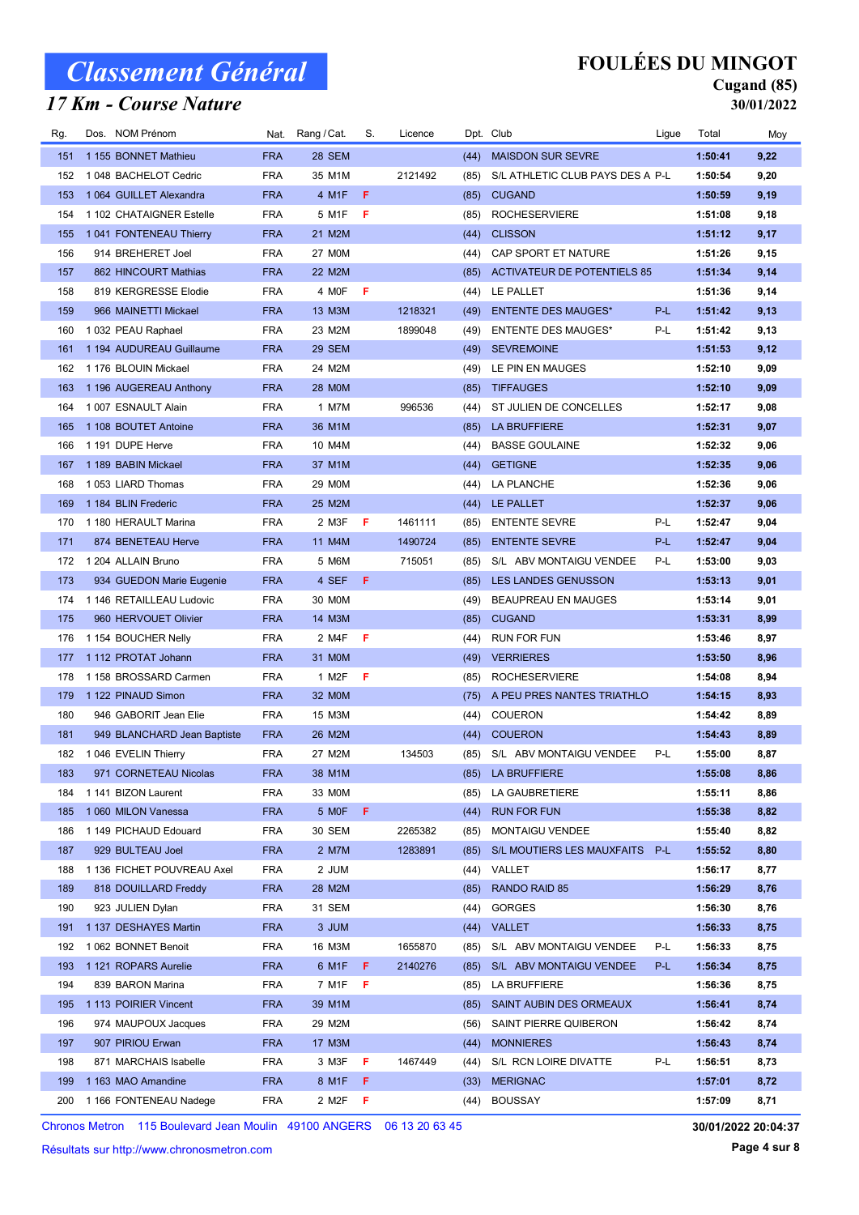### 17 Km - Course Nature

### FOULÉES DU MINGOT

#### Cugand (85) 30/01/2022

| Rg. | Dos. NOM Prénom             |            | Nat. Rang / Cat. | S. | Licence |      | Dpt. Club                          | Ligue | Total   | Moy  |
|-----|-----------------------------|------------|------------------|----|---------|------|------------------------------------|-------|---------|------|
| 151 | 1 155 BONNET Mathieu        | <b>FRA</b> | 28 SEM           |    |         | (44) | <b>MAISDON SUR SEVRE</b>           |       | 1:50:41 | 9,22 |
| 152 | 1 048 BACHELOT Cedric       | <b>FRA</b> | 35 M1M           |    | 2121492 | (85) | S/L ATHLETIC CLUB PAYS DES A P-L   |       | 1:50:54 | 9,20 |
| 153 | 1 064 GUILLET Alexandra     | <b>FRA</b> | 4 M1F            | F  |         | (85) | <b>CUGAND</b>                      |       | 1:50:59 | 9,19 |
| 154 | 1 102 CHATAIGNER Estelle    | <b>FRA</b> | 5 M1F            | F  |         | (85) | <b>ROCHESERVIERE</b>               |       | 1:51:08 | 9,18 |
| 155 | 1041 FONTENEAU Thierry      | <b>FRA</b> | 21 M2M           |    |         | (44) | <b>CLISSON</b>                     |       | 1:51:12 | 9,17 |
| 156 | 914 BREHERET Joel           | <b>FRA</b> | <b>27 MOM</b>    |    |         | (44) | CAP SPORT ET NATURE                |       | 1:51:26 | 9,15 |
| 157 | 862 HINCOURT Mathias        | <b>FRA</b> | 22 M2M           |    |         | (85) | <b>ACTIVATEUR DE POTENTIELS 85</b> |       | 1:51:34 | 9,14 |
| 158 | 819 KERGRESSE Elodie        | <b>FRA</b> | 4 MOF            | F  |         | (44) | LE PALLET                          |       | 1:51:36 | 9,14 |
| 159 | 966 MAINETTI Mickael        | <b>FRA</b> | 13 M3M           |    | 1218321 | (49) | <b>ENTENTE DES MAUGES*</b>         | P-L   | 1:51:42 | 9,13 |
| 160 | 1032 PEAU Raphael           | <b>FRA</b> | 23 M2M           |    | 1899048 | (49) | <b>ENTENTE DES MAUGES*</b>         | P-L   | 1:51:42 | 9,13 |
| 161 | 1 194 AUDUREAU Guillaume    | <b>FRA</b> | 29 SEM           |    |         | (49) | <b>SEVREMOINE</b>                  |       | 1:51:53 | 9,12 |
| 162 | 1 176 BLOUIN Mickael        | <b>FRA</b> | 24 M2M           |    |         | (49) | LE PIN EN MAUGES                   |       | 1:52:10 | 9,09 |
| 163 | 1 196 AUGEREAU Anthony      | <b>FRA</b> | <b>28 MOM</b>    |    |         | (85) | <b>TIFFAUGES</b>                   |       | 1:52:10 | 9,09 |
| 164 | 1 007 ESNAULT Alain         | <b>FRA</b> | 1 M7M            |    | 996536  | (44) | ST JULIEN DE CONCELLES             |       | 1:52:17 | 9,08 |
| 165 | 1 108 BOUTET Antoine        | <b>FRA</b> | 36 M1M           |    |         | (85) | <b>LA BRUFFIERE</b>                |       | 1:52:31 | 9,07 |
| 166 | 1 191 DUPE Herve            | <b>FRA</b> | 10 M4M           |    |         | (44) | <b>BASSE GOULAINE</b>              |       | 1:52:32 | 9,06 |
| 167 | 1 189 BABIN Mickael         | <b>FRA</b> | 37 M1M           |    |         | (44) | <b>GETIGNE</b>                     |       | 1:52:35 | 9,06 |
| 168 | 1053 LIARD Thomas           | <b>FRA</b> | 29 M0M           |    |         | (44) | LA PLANCHE                         |       | 1:52:36 | 9,06 |
| 169 | 1 184 BLIN Frederic         | <b>FRA</b> | 25 M2M           |    |         | (44) | LE PALLET                          |       | 1:52:37 | 9,06 |
| 170 | 1 180 HERAULT Marina        | <b>FRA</b> | 2 M3F            | F  | 1461111 | (85) | <b>ENTENTE SEVRE</b>               | P-L   | 1:52:47 | 9,04 |
| 171 | 874 BENETEAU Herve          | <b>FRA</b> | 11 M4M           |    | 1490724 | (85) | <b>ENTENTE SEVRE</b>               | P-L   | 1:52:47 | 9,04 |
| 172 | 1 204 ALLAIN Bruno          | <b>FRA</b> | 5 M6M            |    | 715051  | (85) | S/L ABV MONTAIGU VENDEE            | P-L   | 1:53:00 | 9,03 |
| 173 | 934 GUEDON Marie Eugenie    | <b>FRA</b> | 4 SEF            | F  |         | (85) | <b>LES LANDES GENUSSON</b>         |       | 1:53:13 | 9,01 |
| 174 | 1 146 RETAILLEAU Ludovic    | <b>FRA</b> | 30 MOM           |    |         | (49) | <b>BEAUPREAU EN MAUGES</b>         |       | 1:53:14 | 9,01 |
| 175 | 960 HERVOUET Olivier        | <b>FRA</b> | 14 M3M           |    |         | (85) | <b>CUGAND</b>                      |       | 1:53:31 | 8,99 |
| 176 | 1 154 BOUCHER Nelly         | <b>FRA</b> | 2 M4F            | F. |         | (44) | <b>RUN FOR FUN</b>                 |       | 1:53:46 | 8,97 |
| 177 | 1 112 PROTAT Johann         | <b>FRA</b> | 31 M0M           |    |         | (49) | <b>VERRIERES</b>                   |       | 1:53:50 | 8,96 |
| 178 | 1158 BROSSARD Carmen        | <b>FRA</b> | 1 M2F            | F  |         | (85) | <b>ROCHESERVIERE</b>               |       | 1:54:08 | 8,94 |
| 179 | 1 122 PINAUD Simon          | <b>FRA</b> | 32 M0M           |    |         | (75) | A PEU PRES NANTES TRIATHLO         |       | 1:54:15 | 8,93 |
| 180 | 946 GABORIT Jean Elie       | <b>FRA</b> | 15 M3M           |    |         | (44) | COUERON                            |       | 1:54:42 | 8,89 |
| 181 | 949 BLANCHARD Jean Baptiste | <b>FRA</b> | 26 M2M           |    |         | (44) | <b>COUERON</b>                     |       | 1:54:43 | 8,89 |
| 182 | 1046 EVELIN Thierry         | <b>FRA</b> | 27 M2M           |    | 134503  | (85) | S/L ABV MONTAIGU VENDEE            | P-L   | 1:55:00 | 8,87 |
| 183 | 971 CORNETEAU Nicolas       | <b>FRA</b> | 38 M1M           |    |         |      | (85) LA BRUFFIERE                  |       | 1:55:08 | 8,86 |
| 184 | 1 141 BIZON Laurent         | FRA        | 33 M0M           |    |         | (85) | LA GAUBRETIERE                     |       | 1:55:11 | 8,86 |
| 185 | 1 060 MILON Vanessa         | <b>FRA</b> | 5 MOF            | F. |         | (44) | <b>RUN FOR FUN</b>                 |       | 1:55:38 | 8,82 |
| 186 | 1 149 PICHAUD Edouard       | <b>FRA</b> | <b>30 SEM</b>    |    | 2265382 | (85) | MONTAIGU VENDEE                    |       | 1:55:40 | 8,82 |
| 187 | 929 BULTEAU Joel            | <b>FRA</b> | 2 M7M            |    | 1283891 | (85) | S/L MOUTIERS LES MAUXFAITS P-L     |       | 1:55:52 | 8,80 |
| 188 | 1 136 FICHET POUVREAU Axel  | <b>FRA</b> | 2 JUM            |    |         | (44) | VALLET                             |       | 1:56:17 | 8,77 |
| 189 | 818 DOUILLARD Freddy        | <b>FRA</b> | 28 M2M           |    |         | (85) | <b>RANDO RAID 85</b>               |       | 1:56:29 | 8,76 |
| 190 | 923 JULIEN Dylan            | <b>FRA</b> | 31 SEM           |    |         | (44) | <b>GORGES</b>                      |       | 1:56:30 | 8,76 |
| 191 | 1 137 DESHAYES Martin       | <b>FRA</b> | 3 JUM            |    |         | (44) | <b>VALLET</b>                      |       | 1:56:33 | 8,75 |
| 192 | 1 062 BONNET Benoit         | <b>FRA</b> | 16 M3M           |    | 1655870 | (85) | S/L ABV MONTAIGU VENDEE            | P-L   | 1:56:33 | 8,75 |
| 193 | 1 121 ROPARS Aurelie        | <b>FRA</b> | 6 M1F            | F  | 2140276 | (85) | S/L ABV MONTAIGU VENDEE            | P-L   | 1:56:34 | 8,75 |
| 194 | 839 BARON Marina            | FRA        | 7 M1F            | -F |         | (85) | LA BRUFFIERE                       |       | 1:56:36 | 8,75 |
| 195 | 1 113 POIRIER Vincent       | <b>FRA</b> | 39 M1M           |    |         | (85) | SAINT AUBIN DES ORMEAUX            |       | 1:56:41 | 8,74 |
| 196 | 974 MAUPOUX Jacques         | FRA        | 29 M2M           |    |         | (56) | SAINT PIERRE QUIBERON              |       | 1:56:42 | 8,74 |
| 197 | 907 PIRIOU Erwan            | <b>FRA</b> | 17 M3M           |    |         | (44) | <b>MONNIERES</b>                   |       | 1:56:43 | 8,74 |
| 198 | 871 MARCHAIS Isabelle       | <b>FRA</b> | 3 M3F            | F  | 1467449 | (44) | S/L RCN LOIRE DIVATTE              | P-L   | 1:56:51 | 8,73 |
| 199 | 1 163 MAO Amandine          | <b>FRA</b> | 8 M1F            | F  |         | (33) | <b>MERIGNAC</b>                    |       | 1:57:01 | 8,72 |
| 200 | 1 166 FONTENEAU Nadege      | FRA        | 2 M2F            | F  |         | (44) | <b>BOUSSAY</b>                     |       | 1:57:09 | 8,71 |

Chronos Metron 115 Boulevard Jean Moulin 49100 ANGERS 06 13 20 63 45

Résultats sur http://www.chronosmetron.com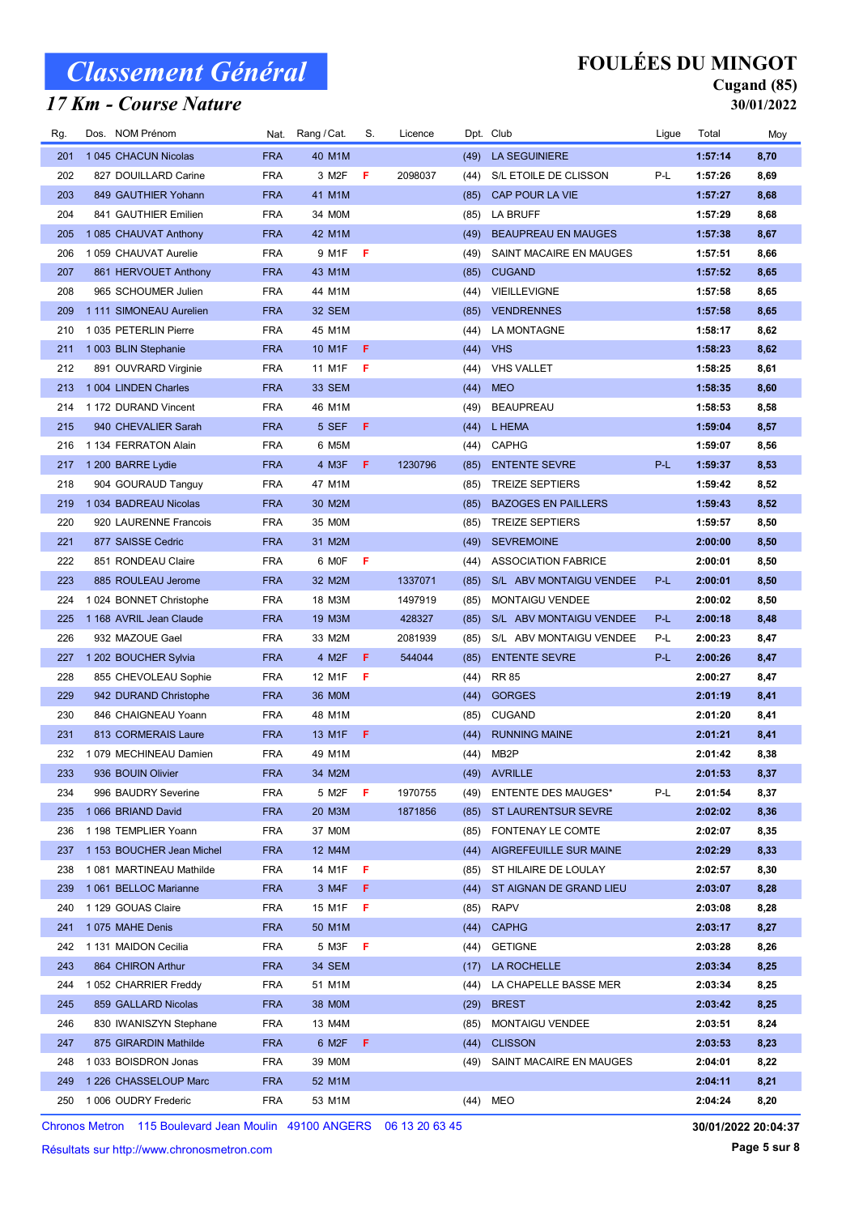### 17 Km - Course Nature

## FOULÉES DU MINGOT

#### Cugand (85) 30/01/2022

| Rg. | Dos. NOM Prénom           |            | Nat. Rang / Cat. | S.  | Licence |      | Dpt. Club                  | Ligue | Total   | Moy  |
|-----|---------------------------|------------|------------------|-----|---------|------|----------------------------|-------|---------|------|
| 201 | 1 045 CHACUN Nicolas      | <b>FRA</b> | 40 M1M           |     |         | (49) | <b>LA SEGUINIERE</b>       |       | 1:57:14 | 8,70 |
| 202 | 827 DOUILLARD Carine      | <b>FRA</b> | 3 M2F            | F   | 2098037 | (44) | S/L ETOILE DE CLISSON      | P-L   | 1:57:26 | 8,69 |
| 203 | 849 GAUTHIER Yohann       | <b>FRA</b> | 41 M1M           |     |         | (85) | CAP POUR LA VIE            |       | 1:57:27 | 8,68 |
| 204 | 841 GAUTHIER Emilien      | <b>FRA</b> | 34 M0M           |     |         | (85) | LA BRUFF                   |       | 1:57:29 | 8,68 |
| 205 | 1 085 CHAUVAT Anthony     | <b>FRA</b> | 42 M1M           |     |         | (49) | <b>BEAUPREAU EN MAUGES</b> |       | 1:57:38 | 8,67 |
| 206 | 1 059 CHAUVAT Aurelie     | <b>FRA</b> | 9 M1F            | -F  |         | (49) | SAINT MACAIRE EN MAUGES    |       | 1:57:51 | 8,66 |
| 207 | 861 HERVOUET Anthony      | <b>FRA</b> | 43 M1M           |     |         | (85) | <b>CUGAND</b>              |       | 1:57:52 | 8,65 |
| 208 | 965 SCHOUMER Julien       | <b>FRA</b> | 44 M1M           |     |         | (44) | VIEILLEVIGNE               |       | 1:57:58 | 8,65 |
| 209 | 1 111 SIMONEAU Aurelien   | <b>FRA</b> | 32 SEM           |     |         | (85) | <b>VENDRENNES</b>          |       | 1:57:58 | 8,65 |
| 210 | 1035 PETERLIN Pierre      | <b>FRA</b> | 45 M1M           |     |         | (44) | LA MONTAGNE                |       | 1:58:17 | 8,62 |
| 211 | 1 003 BLIN Stephanie      | <b>FRA</b> | 10 M1F           | F   |         | (44) | <b>VHS</b>                 |       | 1:58:23 | 8,62 |
| 212 | 891 OUVRARD Virginie      | <b>FRA</b> | 11 M1F           | F   |         | (44) | <b>VHS VALLET</b>          |       | 1:58:25 | 8,61 |
| 213 | 1004 LINDEN Charles       | <b>FRA</b> | <b>33 SEM</b>    |     |         | (44) | <b>MEO</b>                 |       | 1:58:35 | 8,60 |
| 214 | 1 172 DURAND Vincent      | <b>FRA</b> | 46 M1M           |     |         | (49) | <b>BEAUPREAU</b>           |       | 1:58:53 | 8,58 |
| 215 | 940 CHEVALIER Sarah       | <b>FRA</b> | 5 SEF            | F   |         | (44) | L HEMA                     |       | 1:59:04 | 8,57 |
| 216 | 1 134 FERRATON Alain      | <b>FRA</b> | 6 M5M            |     |         | (44) | <b>CAPHG</b>               |       | 1:59:07 | 8,56 |
| 217 | 1 200 BARRE Lydie         | <b>FRA</b> | 4 M3F            | F   | 1230796 | (85) | <b>ENTENTE SEVRE</b>       | P-L   | 1:59:37 | 8,53 |
| 218 | 904 GOURAUD Tanguy        | <b>FRA</b> | 47 M1M           |     |         | (85) | <b>TREIZE SEPTIERS</b>     |       | 1:59:42 | 8,52 |
| 219 | 1 034 BADREAU Nicolas     | <b>FRA</b> | 30 M2M           |     |         | (85) | <b>BAZOGES EN PAILLERS</b> |       | 1:59:43 | 8,52 |
| 220 | 920 LAURENNE Francois     | <b>FRA</b> | 35 M0M           |     |         | (85) | <b>TREIZE SEPTIERS</b>     |       | 1:59:57 | 8,50 |
| 221 | 877 SAISSE Cedric         | <b>FRA</b> | 31 M2M           |     |         | (49) | <b>SEVREMOINE</b>          |       | 2:00:00 | 8,50 |
| 222 | 851 RONDEAU Claire        | <b>FRA</b> | 6 MOF            | - F |         | (44) | <b>ASSOCIATION FABRICE</b> |       | 2:00:01 | 8,50 |
| 223 | 885 ROULEAU Jerome        | <b>FRA</b> | 32 M2M           |     | 1337071 | (85) | S/L ABV MONTAIGU VENDEE    | P-L   | 2:00:01 | 8,50 |
| 224 | 1 024 BONNET Christophe   | <b>FRA</b> | 18 M3M           |     | 1497919 | (85) | <b>MONTAIGU VENDEE</b>     |       | 2:00:02 | 8,50 |
| 225 | 1 168 AVRIL Jean Claude   | <b>FRA</b> | 19 M3M           |     | 428327  | (85) | S/L ABV MONTAIGU VENDEE    | P-L   | 2:00:18 | 8,48 |
| 226 | 932 MAZOUE Gael           | <b>FRA</b> | 33 M2M           |     | 2081939 | (85) | S/L ABV MONTAIGU VENDEE    | P-L   | 2:00:23 | 8,47 |
| 227 | 1 202 BOUCHER Sylvia      | <b>FRA</b> | 4 M2F            | F   | 544044  | (85) | <b>ENTENTE SEVRE</b>       | P-L   | 2:00:26 | 8,47 |
| 228 | 855 CHEVOLEAU Sophie      | <b>FRA</b> | 12 M1F           | F   |         | (44) | <b>RR 85</b>               |       | 2:00:27 | 8,47 |
| 229 | 942 DURAND Christophe     | <b>FRA</b> | <b>36 MOM</b>    |     |         | (44) | <b>GORGES</b>              |       | 2:01:19 | 8,41 |
| 230 | 846 CHAIGNEAU Yoann       | <b>FRA</b> | 48 M1M           |     |         | (85) | <b>CUGAND</b>              |       | 2:01:20 | 8,41 |
| 231 | 813 CORMERAIS Laure       | <b>FRA</b> | 13 M1F           | F   |         | (44) | <b>RUNNING MAINE</b>       |       | 2:01:21 | 8,41 |
| 232 | 1079 MECHINEAU Damien     | <b>FRA</b> | 49 M1M           |     |         | (44) | MB2P                       |       | 2:01:42 | 8,38 |
| 233 | 936 BOUIN Olivier         | <b>FRA</b> | 34 M2M           |     |         |      | (49) AVRILLE               |       | 2:01:53 | 8,37 |
| 234 | 996 BAUDRY Severine       | <b>FRA</b> | 5 M2F            | F.  | 1970755 | (49) | <b>ENTENTE DES MAUGES*</b> | P-L   | 2:01:54 | 8,37 |
| 235 | 1 066 BRIAND David        | <b>FRA</b> | 20 M3M           |     | 1871856 | (85) | <b>ST LAURENTSUR SEVRE</b> |       | 2:02:02 | 8,36 |
| 236 | 1 198 TEMPLIER Yoann      | <b>FRA</b> | 37 M0M           |     |         | (85) | FONTENAY LE COMTE          |       | 2:02:07 | 8,35 |
| 237 | 1 153 BOUCHER Jean Michel | <b>FRA</b> | 12 M4M           |     |         | (44) | AIGREFEUILLE SUR MAINE     |       | 2:02:29 | 8,33 |
| 238 | 1081 MARTINEAU Mathilde   | <b>FRA</b> | 14 M1F           | -F  |         | (85) | ST HILAIRE DE LOULAY       |       | 2:02:57 | 8,30 |
| 239 | 1 061 BELLOC Marianne     | <b>FRA</b> | 3 M4F            | F.  |         | (44) | ST AIGNAN DE GRAND LIEU    |       | 2:03:07 | 8,28 |
| 240 | 1 129 GOUAS Claire        | <b>FRA</b> | 15 M1F           | - F |         | (85) | RAPV                       |       | 2:03:08 | 8,28 |
| 241 | 1075 MAHE Denis           | <b>FRA</b> | 50 M1M           |     |         | (44) | <b>CAPHG</b>               |       | 2:03:17 | 8,27 |
| 242 | 1 131 MAIDON Cecilia      | <b>FRA</b> | 5 M3F            | -F  |         | (44) | <b>GETIGNE</b>             |       | 2:03:28 | 8,26 |
| 243 | 864 CHIRON Arthur         | <b>FRA</b> | 34 SEM           |     |         | (17) | LA ROCHELLE                |       | 2:03:34 | 8,25 |
| 244 | 1052 CHARRIER Freddy      | <b>FRA</b> | 51 M1M           |     |         | (44) | LA CHAPELLE BASSE MER      |       | 2:03:34 | 8,25 |
| 245 | 859 GALLARD Nicolas       | <b>FRA</b> | 38 M0M           |     |         | (29) | <b>BREST</b>               |       | 2:03:42 | 8,25 |
| 246 | 830 IWANISZYN Stephane    | <b>FRA</b> | 13 M4M           |     |         | (85) | <b>MONTAIGU VENDEE</b>     |       | 2:03:51 | 8,24 |
| 247 | 875 GIRARDIN Mathilde     | <b>FRA</b> | 6 M2F            | Æ   |         | (44) | <b>CLISSON</b>             |       | 2:03:53 | 8,23 |
| 248 | 1033 BOISDRON Jonas       | <b>FRA</b> | 39 M0M           |     |         | (49) | SAINT MACAIRE EN MAUGES    |       | 2:04:01 | 8,22 |
| 249 | 1 226 CHASSELOUP Marc     | <b>FRA</b> | 52 M1M           |     |         |      |                            |       | 2:04:11 | 8,21 |
| 250 | 1 006 OUDRY Frederic      | <b>FRA</b> | 53 M1M           |     |         | (44) | MEO                        |       | 2:04:24 | 8,20 |
|     |                           |            |                  |     |         |      |                            |       |         |      |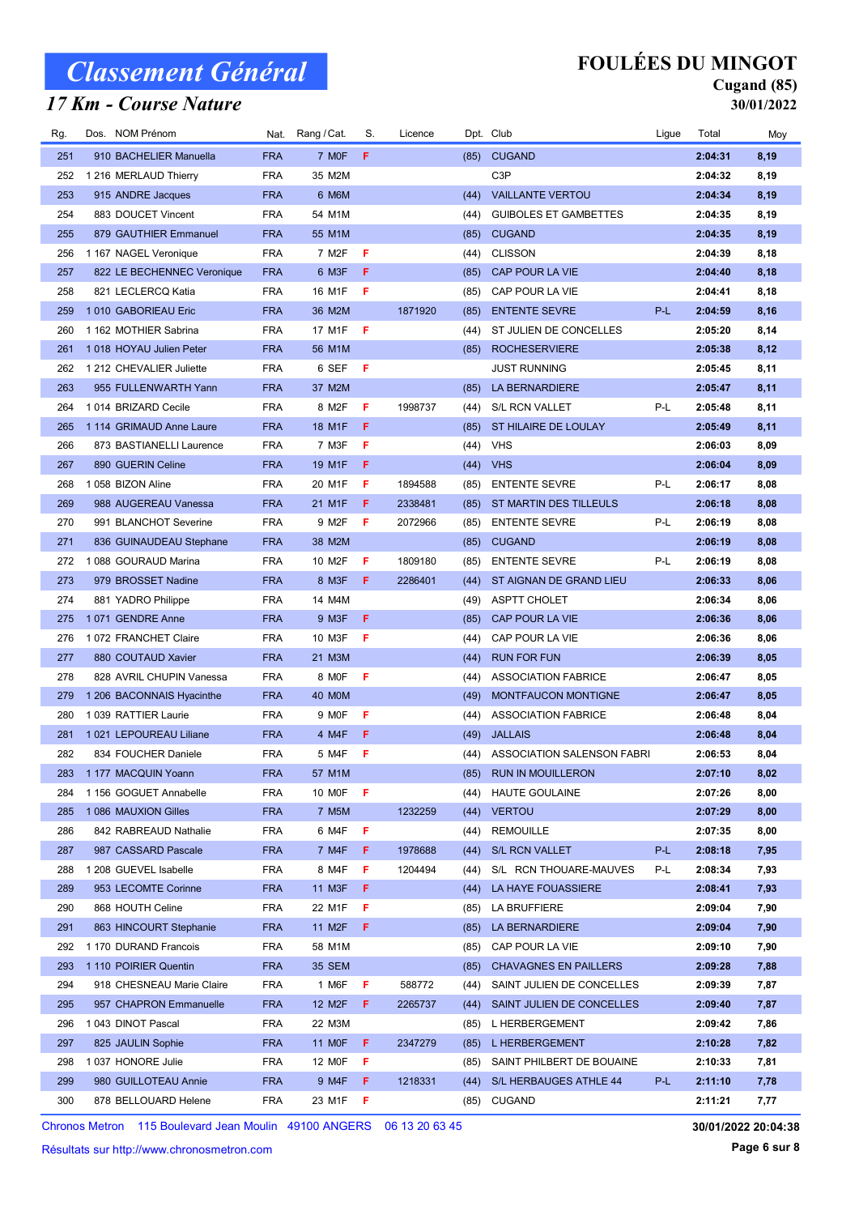### 17 Km - Course Nature

### FOULÉES DU MINGOT

#### Cugand (85) 30/01/2022

| F<br>251<br><b>FRA</b><br>7 MOF<br><b>CUGAND</b><br>8,19<br>910 BACHELIER Manuella<br>(85)<br>2:04:31<br><b>FRA</b><br>35 M2M<br>C <sub>3</sub> P<br>8,19<br>252<br>1 216 MERLAUD Thierry<br>2:04:32<br>6 M6M<br><b>VAILLANTE VERTOU</b><br>8,19<br>253<br>915 ANDRE Jacques<br><b>FRA</b><br>2:04:34<br>(44)<br>254<br><b>FRA</b><br>54 M1M<br>8,19<br>883 DOUCET Vincent<br>(44)<br><b>GUIBOLES ET GAMBETTES</b><br>2:04:35<br>255<br><b>FRA</b><br>8,19<br>879 GAUTHIER Emmanuel<br>55 M1M<br><b>CUGAND</b><br>2:04:35<br>(85)<br><b>FRA</b><br>7 M2F<br>F<br><b>CLISSON</b><br>8,18<br>256<br>1 167 NAGEL Veronique<br>(44)<br>2:04:39<br><b>FRA</b><br>F<br>8,18<br>257<br>822 LE BECHENNEC Veronique<br>6 M3F<br>(85)<br>CAP POUR LA VIE<br>2:04:40<br>258<br><b>FRA</b><br>-F<br>8,18<br>821 LECLERCQ Katia<br>16 M1F<br>(85)<br>CAP POUR LA VIE<br>2:04:41<br><b>FRA</b><br>P-L<br>259<br>1010 GABORIEAU Eric<br>36 M2M<br>1871920<br><b>ENTENTE SEVRE</b><br>2:04:59<br>8,16<br>(85)<br>8,14<br>1 162 MOTHIER Sabrina<br><b>FRA</b><br>17 M1F<br>F<br>ST JULIEN DE CONCELLES<br>2:05:20<br>260<br>(44)<br>8,12<br>261<br>1018 HOYAU Julien Peter<br><b>FRA</b><br>56 M1M<br><b>ROCHESERVIERE</b><br>2:05:38<br>(85)<br>Æ<br>8,11<br>1 212 CHEVALIER Juliette<br><b>FRA</b><br>6 SEF<br><b>JUST RUNNING</b><br>2:05:45<br>262<br>263<br><b>FRA</b><br>37 M2M<br>8,11<br>955 FULLENWARTH Yann<br>(85)<br>LA BERNARDIERE<br>2:05:47<br>F<br>1998737<br>P-L<br>8,11<br>264<br>1014 BRIZARD Cecile<br><b>FRA</b><br>8 M2F<br><b>S/L RCN VALLET</b><br>2:05:48<br>(44)<br>F<br><b>FRA</b><br>8,11<br>265<br>1 114 GRIMAUD Anne Laure<br>18 M1F<br>ST HILAIRE DE LOULAY<br>2:05:49<br>(85)<br>266<br><b>FRA</b><br>F<br>8,09<br>873 BASTIANELLI Laurence<br>7 M3F<br>(44)<br><b>VHS</b><br>2:06:03<br>267<br><b>FRA</b><br>F<br>8,09<br>890 GUERIN Celine<br>19 M1F<br>(44)<br><b>VHS</b><br>2:06:04<br>P-L<br>268<br>1 058 BIZON Aline<br><b>FRA</b><br>20 M1F<br>F<br>1894588<br><b>ENTENTE SEVRE</b><br>8,08<br>(85)<br>2:06:17<br><b>FRA</b><br>F<br>8,08<br>269<br>988 AUGEREAU Vanessa<br>21 M1F<br>2338481<br>ST MARTIN DES TILLEULS<br>2:06:18<br>(85)<br><b>FRA</b><br>F<br>270<br>991 BLANCHOT Severine<br>9 M2F<br>2072966<br><b>ENTENTE SEVRE</b><br>P-L<br>2:06:19<br>8,08<br>(85)<br>8,08<br>271<br>836 GUINAUDEAU Stephane<br><b>FRA</b><br>38 M2M<br><b>CUGAND</b><br>2:06:19<br>(85)<br>P-L<br>8,08<br>272<br>1088 GOURAUD Marina<br><b>FRA</b><br>10 M2F<br>F<br>1809180<br><b>ENTENTE SEVRE</b><br>2:06:19<br>(85)<br>F<br>273<br><b>FRA</b><br>8 M3F<br>ST AIGNAN DE GRAND LIEU<br>2:06:33<br>8,06<br>979 BROSSET Nadine<br>2286401<br>(44)<br>274<br>8,06<br><b>FRA</b><br>14 M4M<br>ASPTT CHOLET<br>2:06:34<br>881 YADRO Philippe<br>(49)<br><b>FRA</b><br>F<br>8,06<br>275<br>1071 GENDRE Anne<br>9 M3F<br>(85)<br>CAP POUR LA VIE<br>2:06:36<br>276<br><b>FRA</b><br>10 M3F<br>-F<br>8,06<br>1072 FRANCHET Claire<br>(44)<br>CAP POUR LA VIE<br>2:06:36<br>277<br><b>FRA</b><br>8,05<br>880 COUTAUD Xavier<br>21 M3M<br><b>RUN FOR FUN</b><br>2:06:39<br>(44)<br>F<br>8,05<br>278<br>828 AVRIL CHUPIN Vanessa<br><b>FRA</b><br>8 MOF<br><b>ASSOCIATION FABRICE</b><br>2:06:47<br>(44)<br><b>FRA</b><br>8,05<br>279<br>1 206 BACONNAIS Hyacinthe<br><b>40 MOM</b><br>(49)<br>MONTFAUCON MONTIGNE<br>2:06:47<br>F<br>8,04<br>280<br>1 039 RATTIER Laurie<br><b>FRA</b><br>9 MOF<br><b>ASSOCIATION FABRICE</b><br>2:06:48<br>(44)<br><b>FRA</b><br>8,04<br>281<br>1 021 LEPOUREAU Liliane<br>4 M4F<br>F<br>(49)<br><b>JALLAIS</b><br>2:06:48<br>F<br>8,04<br>282<br><b>FRA</b><br>5 M4F<br>(44) ASSOCIATION SALENSON FABRI<br>2:06:53<br>834 FOUCHER Daniele<br>1 177 MACQUIN Yoann<br>RUN IN MOUILLERON<br>283<br><b>FRA</b><br>57 M1M<br>(85)<br>2:07:10<br>8,02<br>8,00<br>1 156 GOGUET Annabelle<br><b>FRA</b><br>10 M0F<br>F<br>HAUTE GOULAINE<br>2:07:26<br>284<br>(44)<br><b>FRA</b><br>8,00<br>285<br>1 086 MAUXION Gilles<br>7 M <sub>5</sub> M<br>1232259<br><b>VERTOU</b><br>2:07:29<br>(44)<br>286<br>842 RABREAUD Nathalie<br><b>FRA</b><br>6 M4F<br>F<br><b>REMOUILLE</b><br>2:07:35<br>8,00<br>(44)<br>287<br>P-L<br>2:08:18<br>7,95<br>987 CASSARD Pascale<br><b>FRA</b><br>7 M4F<br>F.<br>1978688<br><b>S/L RCN VALLET</b><br>(44)<br>F<br>288<br>1 208 GUEVEL Isabelle<br><b>FRA</b><br>8 M4F<br>1204494<br>S/L RCN THOUARE-MAUVES<br>2:08:34<br>7,93<br>(44)<br>P-L<br>F<br>289<br>953 LECOMTE Corinne<br><b>FRA</b><br>11 M3F<br>LA HAYE FOUASSIERE<br>2:08:41<br>7,93<br>(44)<br>290<br><b>FRA</b><br>F<br>2:09:04<br>7,90<br>868 HOUTH Celine<br>22 M1F<br>(85)<br>LA BRUFFIERE<br>F<br>291<br><b>FRA</b><br>11 M <sub>2</sub> F<br>LA BERNARDIERE<br>2:09:04<br>7,90<br>863 HINCOURT Stephanie<br>(85)<br>292<br>1 170 DURAND Francois<br><b>FRA</b><br>58 M1M<br>CAP POUR LA VIE<br>2:09:10<br>7,90<br>(85)<br>1 110 POIRIER Quentin<br><b>FRA</b><br><b>35 SEM</b><br><b>CHAVAGNES EN PAILLERS</b><br>2:09:28<br>7,88<br>293<br>(85)<br>294<br>F<br>918 CHESNEAU Marie Claire<br><b>FRA</b><br>1 M6F<br>588772<br>SAINT JULIEN DE CONCELLES<br>2:09:39<br>7,87<br>(44)<br>295<br><b>FRA</b><br>957 CHAPRON Emmanuelle<br>12 M <sub>2</sub> F<br>F.<br>2265737<br>SAINT JULIEN DE CONCELLES<br>2:09:40<br>7,87<br>(44)<br>22 M3M<br>2:09:42<br>7,86<br>296<br>1043 DINOT Pascal<br><b>FRA</b><br>L HERBERGEMENT<br>(85)<br>297<br>F<br>2347279<br>2:10:28<br>7,82<br>825 JAULIN Sophie<br><b>FRA</b><br>11 MOF<br>L HERBERGEMENT<br>(85)<br>298<br>F<br>2:10:33<br>1037 HONORE Julie<br><b>FRA</b><br>12 M0F<br>SAINT PHILBERT DE BOUAINE<br>7,81<br>(85)<br>299<br><b>FRA</b><br>F<br>P-L<br>980 GUILLOTEAU Annie<br>9 M4F<br>1218331<br>S/L HERBAUGES ATHLE 44<br>2:11:10<br>7,78<br>(44) | Rg. | Dos. NOM Prénom      | Nat.       | Rang / Cat. | S. | Licence |      | Dpt. Club     | Ligue | Total   | Moy  |
|--------------------------------------------------------------------------------------------------------------------------------------------------------------------------------------------------------------------------------------------------------------------------------------------------------------------------------------------------------------------------------------------------------------------------------------------------------------------------------------------------------------------------------------------------------------------------------------------------------------------------------------------------------------------------------------------------------------------------------------------------------------------------------------------------------------------------------------------------------------------------------------------------------------------------------------------------------------------------------------------------------------------------------------------------------------------------------------------------------------------------------------------------------------------------------------------------------------------------------------------------------------------------------------------------------------------------------------------------------------------------------------------------------------------------------------------------------------------------------------------------------------------------------------------------------------------------------------------------------------------------------------------------------------------------------------------------------------------------------------------------------------------------------------------------------------------------------------------------------------------------------------------------------------------------------------------------------------------------------------------------------------------------------------------------------------------------------------------------------------------------------------------------------------------------------------------------------------------------------------------------------------------------------------------------------------------------------------------------------------------------------------------------------------------------------------------------------------------------------------------------------------------------------------------------------------------------------------------------------------------------------------------------------------------------------------------------------------------------------------------------------------------------------------------------------------------------------------------------------------------------------------------------------------------------------------------------------------------------------------------------------------------------------------------------------------------------------------------------------------------------------------------------------------------------------------------------------------------------------------------------------------------------------------------------------------------------------------------------------------------------------------------------------------------------------------------------------------------------------------------------------------------------------------------------------------------------------------------------------------------------------------------------------------------------------------------------------------------------------------------------------------------------------------------------------------------------------------------------------------------------------------------------------------------------------------------------------------------------------------------------------------------------------------------------------------------------------------------------------------------------------------------------------------------------------------------------------------------------------------------------------------------------------------------------------------------------------------------------------------------------------------------------------------------------------------------------------------------------------------------------------------------------------------------------------------------------------------------------------------------------------------------------------------------------------------------------------------------------------------------------------------------------------------------------------------------------------------------------------------------------------------------------------------------------------------------------------------------------------------------------------------------------------------------------------------------------------------------------------------------------------------------------------------------------------------------------------------------------------------------------------------------------------------------------------------------------------------------------------------------------------------------------------------------------------------------------------------------------------------------------------------------------------------------------------------------------------------------------------------------------------------------------------------------------------------------------------------------------------------------|-----|----------------------|------------|-------------|----|---------|------|---------------|-------|---------|------|
|                                                                                                                                                                                                                                                                                                                                                                                                                                                                                                                                                                                                                                                                                                                                                                                                                                                                                                                                                                                                                                                                                                                                                                                                                                                                                                                                                                                                                                                                                                                                                                                                                                                                                                                                                                                                                                                                                                                                                                                                                                                                                                                                                                                                                                                                                                                                                                                                                                                                                                                                                                                                                                                                                                                                                                                                                                                                                                                                                                                                                                                                                                                                                                                                                                                                                                                                                                                                                                                                                                                                                                                                                                                                                                                                                                                                                                                                                                                                                                                                                                                                                                                                                                                                                                                                                                                                                                                                                                                                                                                                                                                                                                                                                                                                                                                                                                                                                                                                                                                                                                                                                                                                                                                                                                                                                                                                                                                                                                                                                                                                                                                                                                                                                                                                            |     |                      |            |             |    |         |      |               |       |         |      |
|                                                                                                                                                                                                                                                                                                                                                                                                                                                                                                                                                                                                                                                                                                                                                                                                                                                                                                                                                                                                                                                                                                                                                                                                                                                                                                                                                                                                                                                                                                                                                                                                                                                                                                                                                                                                                                                                                                                                                                                                                                                                                                                                                                                                                                                                                                                                                                                                                                                                                                                                                                                                                                                                                                                                                                                                                                                                                                                                                                                                                                                                                                                                                                                                                                                                                                                                                                                                                                                                                                                                                                                                                                                                                                                                                                                                                                                                                                                                                                                                                                                                                                                                                                                                                                                                                                                                                                                                                                                                                                                                                                                                                                                                                                                                                                                                                                                                                                                                                                                                                                                                                                                                                                                                                                                                                                                                                                                                                                                                                                                                                                                                                                                                                                                                            |     |                      |            |             |    |         |      |               |       |         |      |
|                                                                                                                                                                                                                                                                                                                                                                                                                                                                                                                                                                                                                                                                                                                                                                                                                                                                                                                                                                                                                                                                                                                                                                                                                                                                                                                                                                                                                                                                                                                                                                                                                                                                                                                                                                                                                                                                                                                                                                                                                                                                                                                                                                                                                                                                                                                                                                                                                                                                                                                                                                                                                                                                                                                                                                                                                                                                                                                                                                                                                                                                                                                                                                                                                                                                                                                                                                                                                                                                                                                                                                                                                                                                                                                                                                                                                                                                                                                                                                                                                                                                                                                                                                                                                                                                                                                                                                                                                                                                                                                                                                                                                                                                                                                                                                                                                                                                                                                                                                                                                                                                                                                                                                                                                                                                                                                                                                                                                                                                                                                                                                                                                                                                                                                                            |     |                      |            |             |    |         |      |               |       |         |      |
|                                                                                                                                                                                                                                                                                                                                                                                                                                                                                                                                                                                                                                                                                                                                                                                                                                                                                                                                                                                                                                                                                                                                                                                                                                                                                                                                                                                                                                                                                                                                                                                                                                                                                                                                                                                                                                                                                                                                                                                                                                                                                                                                                                                                                                                                                                                                                                                                                                                                                                                                                                                                                                                                                                                                                                                                                                                                                                                                                                                                                                                                                                                                                                                                                                                                                                                                                                                                                                                                                                                                                                                                                                                                                                                                                                                                                                                                                                                                                                                                                                                                                                                                                                                                                                                                                                                                                                                                                                                                                                                                                                                                                                                                                                                                                                                                                                                                                                                                                                                                                                                                                                                                                                                                                                                                                                                                                                                                                                                                                                                                                                                                                                                                                                                                            |     |                      |            |             |    |         |      |               |       |         |      |
|                                                                                                                                                                                                                                                                                                                                                                                                                                                                                                                                                                                                                                                                                                                                                                                                                                                                                                                                                                                                                                                                                                                                                                                                                                                                                                                                                                                                                                                                                                                                                                                                                                                                                                                                                                                                                                                                                                                                                                                                                                                                                                                                                                                                                                                                                                                                                                                                                                                                                                                                                                                                                                                                                                                                                                                                                                                                                                                                                                                                                                                                                                                                                                                                                                                                                                                                                                                                                                                                                                                                                                                                                                                                                                                                                                                                                                                                                                                                                                                                                                                                                                                                                                                                                                                                                                                                                                                                                                                                                                                                                                                                                                                                                                                                                                                                                                                                                                                                                                                                                                                                                                                                                                                                                                                                                                                                                                                                                                                                                                                                                                                                                                                                                                                                            |     |                      |            |             |    |         |      |               |       |         |      |
|                                                                                                                                                                                                                                                                                                                                                                                                                                                                                                                                                                                                                                                                                                                                                                                                                                                                                                                                                                                                                                                                                                                                                                                                                                                                                                                                                                                                                                                                                                                                                                                                                                                                                                                                                                                                                                                                                                                                                                                                                                                                                                                                                                                                                                                                                                                                                                                                                                                                                                                                                                                                                                                                                                                                                                                                                                                                                                                                                                                                                                                                                                                                                                                                                                                                                                                                                                                                                                                                                                                                                                                                                                                                                                                                                                                                                                                                                                                                                                                                                                                                                                                                                                                                                                                                                                                                                                                                                                                                                                                                                                                                                                                                                                                                                                                                                                                                                                                                                                                                                                                                                                                                                                                                                                                                                                                                                                                                                                                                                                                                                                                                                                                                                                                                            |     |                      |            |             |    |         |      |               |       |         |      |
|                                                                                                                                                                                                                                                                                                                                                                                                                                                                                                                                                                                                                                                                                                                                                                                                                                                                                                                                                                                                                                                                                                                                                                                                                                                                                                                                                                                                                                                                                                                                                                                                                                                                                                                                                                                                                                                                                                                                                                                                                                                                                                                                                                                                                                                                                                                                                                                                                                                                                                                                                                                                                                                                                                                                                                                                                                                                                                                                                                                                                                                                                                                                                                                                                                                                                                                                                                                                                                                                                                                                                                                                                                                                                                                                                                                                                                                                                                                                                                                                                                                                                                                                                                                                                                                                                                                                                                                                                                                                                                                                                                                                                                                                                                                                                                                                                                                                                                                                                                                                                                                                                                                                                                                                                                                                                                                                                                                                                                                                                                                                                                                                                                                                                                                                            |     |                      |            |             |    |         |      |               |       |         |      |
|                                                                                                                                                                                                                                                                                                                                                                                                                                                                                                                                                                                                                                                                                                                                                                                                                                                                                                                                                                                                                                                                                                                                                                                                                                                                                                                                                                                                                                                                                                                                                                                                                                                                                                                                                                                                                                                                                                                                                                                                                                                                                                                                                                                                                                                                                                                                                                                                                                                                                                                                                                                                                                                                                                                                                                                                                                                                                                                                                                                                                                                                                                                                                                                                                                                                                                                                                                                                                                                                                                                                                                                                                                                                                                                                                                                                                                                                                                                                                                                                                                                                                                                                                                                                                                                                                                                                                                                                                                                                                                                                                                                                                                                                                                                                                                                                                                                                                                                                                                                                                                                                                                                                                                                                                                                                                                                                                                                                                                                                                                                                                                                                                                                                                                                                            |     |                      |            |             |    |         |      |               |       |         |      |
|                                                                                                                                                                                                                                                                                                                                                                                                                                                                                                                                                                                                                                                                                                                                                                                                                                                                                                                                                                                                                                                                                                                                                                                                                                                                                                                                                                                                                                                                                                                                                                                                                                                                                                                                                                                                                                                                                                                                                                                                                                                                                                                                                                                                                                                                                                                                                                                                                                                                                                                                                                                                                                                                                                                                                                                                                                                                                                                                                                                                                                                                                                                                                                                                                                                                                                                                                                                                                                                                                                                                                                                                                                                                                                                                                                                                                                                                                                                                                                                                                                                                                                                                                                                                                                                                                                                                                                                                                                                                                                                                                                                                                                                                                                                                                                                                                                                                                                                                                                                                                                                                                                                                                                                                                                                                                                                                                                                                                                                                                                                                                                                                                                                                                                                                            |     |                      |            |             |    |         |      |               |       |         |      |
|                                                                                                                                                                                                                                                                                                                                                                                                                                                                                                                                                                                                                                                                                                                                                                                                                                                                                                                                                                                                                                                                                                                                                                                                                                                                                                                                                                                                                                                                                                                                                                                                                                                                                                                                                                                                                                                                                                                                                                                                                                                                                                                                                                                                                                                                                                                                                                                                                                                                                                                                                                                                                                                                                                                                                                                                                                                                                                                                                                                                                                                                                                                                                                                                                                                                                                                                                                                                                                                                                                                                                                                                                                                                                                                                                                                                                                                                                                                                                                                                                                                                                                                                                                                                                                                                                                                                                                                                                                                                                                                                                                                                                                                                                                                                                                                                                                                                                                                                                                                                                                                                                                                                                                                                                                                                                                                                                                                                                                                                                                                                                                                                                                                                                                                                            |     |                      |            |             |    |         |      |               |       |         |      |
|                                                                                                                                                                                                                                                                                                                                                                                                                                                                                                                                                                                                                                                                                                                                                                                                                                                                                                                                                                                                                                                                                                                                                                                                                                                                                                                                                                                                                                                                                                                                                                                                                                                                                                                                                                                                                                                                                                                                                                                                                                                                                                                                                                                                                                                                                                                                                                                                                                                                                                                                                                                                                                                                                                                                                                                                                                                                                                                                                                                                                                                                                                                                                                                                                                                                                                                                                                                                                                                                                                                                                                                                                                                                                                                                                                                                                                                                                                                                                                                                                                                                                                                                                                                                                                                                                                                                                                                                                                                                                                                                                                                                                                                                                                                                                                                                                                                                                                                                                                                                                                                                                                                                                                                                                                                                                                                                                                                                                                                                                                                                                                                                                                                                                                                                            |     |                      |            |             |    |         |      |               |       |         |      |
|                                                                                                                                                                                                                                                                                                                                                                                                                                                                                                                                                                                                                                                                                                                                                                                                                                                                                                                                                                                                                                                                                                                                                                                                                                                                                                                                                                                                                                                                                                                                                                                                                                                                                                                                                                                                                                                                                                                                                                                                                                                                                                                                                                                                                                                                                                                                                                                                                                                                                                                                                                                                                                                                                                                                                                                                                                                                                                                                                                                                                                                                                                                                                                                                                                                                                                                                                                                                                                                                                                                                                                                                                                                                                                                                                                                                                                                                                                                                                                                                                                                                                                                                                                                                                                                                                                                                                                                                                                                                                                                                                                                                                                                                                                                                                                                                                                                                                                                                                                                                                                                                                                                                                                                                                                                                                                                                                                                                                                                                                                                                                                                                                                                                                                                                            |     |                      |            |             |    |         |      |               |       |         |      |
|                                                                                                                                                                                                                                                                                                                                                                                                                                                                                                                                                                                                                                                                                                                                                                                                                                                                                                                                                                                                                                                                                                                                                                                                                                                                                                                                                                                                                                                                                                                                                                                                                                                                                                                                                                                                                                                                                                                                                                                                                                                                                                                                                                                                                                                                                                                                                                                                                                                                                                                                                                                                                                                                                                                                                                                                                                                                                                                                                                                                                                                                                                                                                                                                                                                                                                                                                                                                                                                                                                                                                                                                                                                                                                                                                                                                                                                                                                                                                                                                                                                                                                                                                                                                                                                                                                                                                                                                                                                                                                                                                                                                                                                                                                                                                                                                                                                                                                                                                                                                                                                                                                                                                                                                                                                                                                                                                                                                                                                                                                                                                                                                                                                                                                                                            |     |                      |            |             |    |         |      |               |       |         |      |
|                                                                                                                                                                                                                                                                                                                                                                                                                                                                                                                                                                                                                                                                                                                                                                                                                                                                                                                                                                                                                                                                                                                                                                                                                                                                                                                                                                                                                                                                                                                                                                                                                                                                                                                                                                                                                                                                                                                                                                                                                                                                                                                                                                                                                                                                                                                                                                                                                                                                                                                                                                                                                                                                                                                                                                                                                                                                                                                                                                                                                                                                                                                                                                                                                                                                                                                                                                                                                                                                                                                                                                                                                                                                                                                                                                                                                                                                                                                                                                                                                                                                                                                                                                                                                                                                                                                                                                                                                                                                                                                                                                                                                                                                                                                                                                                                                                                                                                                                                                                                                                                                                                                                                                                                                                                                                                                                                                                                                                                                                                                                                                                                                                                                                                                                            |     |                      |            |             |    |         |      |               |       |         |      |
|                                                                                                                                                                                                                                                                                                                                                                                                                                                                                                                                                                                                                                                                                                                                                                                                                                                                                                                                                                                                                                                                                                                                                                                                                                                                                                                                                                                                                                                                                                                                                                                                                                                                                                                                                                                                                                                                                                                                                                                                                                                                                                                                                                                                                                                                                                                                                                                                                                                                                                                                                                                                                                                                                                                                                                                                                                                                                                                                                                                                                                                                                                                                                                                                                                                                                                                                                                                                                                                                                                                                                                                                                                                                                                                                                                                                                                                                                                                                                                                                                                                                                                                                                                                                                                                                                                                                                                                                                                                                                                                                                                                                                                                                                                                                                                                                                                                                                                                                                                                                                                                                                                                                                                                                                                                                                                                                                                                                                                                                                                                                                                                                                                                                                                                                            |     |                      |            |             |    |         |      |               |       |         |      |
|                                                                                                                                                                                                                                                                                                                                                                                                                                                                                                                                                                                                                                                                                                                                                                                                                                                                                                                                                                                                                                                                                                                                                                                                                                                                                                                                                                                                                                                                                                                                                                                                                                                                                                                                                                                                                                                                                                                                                                                                                                                                                                                                                                                                                                                                                                                                                                                                                                                                                                                                                                                                                                                                                                                                                                                                                                                                                                                                                                                                                                                                                                                                                                                                                                                                                                                                                                                                                                                                                                                                                                                                                                                                                                                                                                                                                                                                                                                                                                                                                                                                                                                                                                                                                                                                                                                                                                                                                                                                                                                                                                                                                                                                                                                                                                                                                                                                                                                                                                                                                                                                                                                                                                                                                                                                                                                                                                                                                                                                                                                                                                                                                                                                                                                                            |     |                      |            |             |    |         |      |               |       |         |      |
|                                                                                                                                                                                                                                                                                                                                                                                                                                                                                                                                                                                                                                                                                                                                                                                                                                                                                                                                                                                                                                                                                                                                                                                                                                                                                                                                                                                                                                                                                                                                                                                                                                                                                                                                                                                                                                                                                                                                                                                                                                                                                                                                                                                                                                                                                                                                                                                                                                                                                                                                                                                                                                                                                                                                                                                                                                                                                                                                                                                                                                                                                                                                                                                                                                                                                                                                                                                                                                                                                                                                                                                                                                                                                                                                                                                                                                                                                                                                                                                                                                                                                                                                                                                                                                                                                                                                                                                                                                                                                                                                                                                                                                                                                                                                                                                                                                                                                                                                                                                                                                                                                                                                                                                                                                                                                                                                                                                                                                                                                                                                                                                                                                                                                                                                            |     |                      |            |             |    |         |      |               |       |         |      |
|                                                                                                                                                                                                                                                                                                                                                                                                                                                                                                                                                                                                                                                                                                                                                                                                                                                                                                                                                                                                                                                                                                                                                                                                                                                                                                                                                                                                                                                                                                                                                                                                                                                                                                                                                                                                                                                                                                                                                                                                                                                                                                                                                                                                                                                                                                                                                                                                                                                                                                                                                                                                                                                                                                                                                                                                                                                                                                                                                                                                                                                                                                                                                                                                                                                                                                                                                                                                                                                                                                                                                                                                                                                                                                                                                                                                                                                                                                                                                                                                                                                                                                                                                                                                                                                                                                                                                                                                                                                                                                                                                                                                                                                                                                                                                                                                                                                                                                                                                                                                                                                                                                                                                                                                                                                                                                                                                                                                                                                                                                                                                                                                                                                                                                                                            |     |                      |            |             |    |         |      |               |       |         |      |
|                                                                                                                                                                                                                                                                                                                                                                                                                                                                                                                                                                                                                                                                                                                                                                                                                                                                                                                                                                                                                                                                                                                                                                                                                                                                                                                                                                                                                                                                                                                                                                                                                                                                                                                                                                                                                                                                                                                                                                                                                                                                                                                                                                                                                                                                                                                                                                                                                                                                                                                                                                                                                                                                                                                                                                                                                                                                                                                                                                                                                                                                                                                                                                                                                                                                                                                                                                                                                                                                                                                                                                                                                                                                                                                                                                                                                                                                                                                                                                                                                                                                                                                                                                                                                                                                                                                                                                                                                                                                                                                                                                                                                                                                                                                                                                                                                                                                                                                                                                                                                                                                                                                                                                                                                                                                                                                                                                                                                                                                                                                                                                                                                                                                                                                                            |     |                      |            |             |    |         |      |               |       |         |      |
|                                                                                                                                                                                                                                                                                                                                                                                                                                                                                                                                                                                                                                                                                                                                                                                                                                                                                                                                                                                                                                                                                                                                                                                                                                                                                                                                                                                                                                                                                                                                                                                                                                                                                                                                                                                                                                                                                                                                                                                                                                                                                                                                                                                                                                                                                                                                                                                                                                                                                                                                                                                                                                                                                                                                                                                                                                                                                                                                                                                                                                                                                                                                                                                                                                                                                                                                                                                                                                                                                                                                                                                                                                                                                                                                                                                                                                                                                                                                                                                                                                                                                                                                                                                                                                                                                                                                                                                                                                                                                                                                                                                                                                                                                                                                                                                                                                                                                                                                                                                                                                                                                                                                                                                                                                                                                                                                                                                                                                                                                                                                                                                                                                                                                                                                            |     |                      |            |             |    |         |      |               |       |         |      |
|                                                                                                                                                                                                                                                                                                                                                                                                                                                                                                                                                                                                                                                                                                                                                                                                                                                                                                                                                                                                                                                                                                                                                                                                                                                                                                                                                                                                                                                                                                                                                                                                                                                                                                                                                                                                                                                                                                                                                                                                                                                                                                                                                                                                                                                                                                                                                                                                                                                                                                                                                                                                                                                                                                                                                                                                                                                                                                                                                                                                                                                                                                                                                                                                                                                                                                                                                                                                                                                                                                                                                                                                                                                                                                                                                                                                                                                                                                                                                                                                                                                                                                                                                                                                                                                                                                                                                                                                                                                                                                                                                                                                                                                                                                                                                                                                                                                                                                                                                                                                                                                                                                                                                                                                                                                                                                                                                                                                                                                                                                                                                                                                                                                                                                                                            |     |                      |            |             |    |         |      |               |       |         |      |
|                                                                                                                                                                                                                                                                                                                                                                                                                                                                                                                                                                                                                                                                                                                                                                                                                                                                                                                                                                                                                                                                                                                                                                                                                                                                                                                                                                                                                                                                                                                                                                                                                                                                                                                                                                                                                                                                                                                                                                                                                                                                                                                                                                                                                                                                                                                                                                                                                                                                                                                                                                                                                                                                                                                                                                                                                                                                                                                                                                                                                                                                                                                                                                                                                                                                                                                                                                                                                                                                                                                                                                                                                                                                                                                                                                                                                                                                                                                                                                                                                                                                                                                                                                                                                                                                                                                                                                                                                                                                                                                                                                                                                                                                                                                                                                                                                                                                                                                                                                                                                                                                                                                                                                                                                                                                                                                                                                                                                                                                                                                                                                                                                                                                                                                                            |     |                      |            |             |    |         |      |               |       |         |      |
|                                                                                                                                                                                                                                                                                                                                                                                                                                                                                                                                                                                                                                                                                                                                                                                                                                                                                                                                                                                                                                                                                                                                                                                                                                                                                                                                                                                                                                                                                                                                                                                                                                                                                                                                                                                                                                                                                                                                                                                                                                                                                                                                                                                                                                                                                                                                                                                                                                                                                                                                                                                                                                                                                                                                                                                                                                                                                                                                                                                                                                                                                                                                                                                                                                                                                                                                                                                                                                                                                                                                                                                                                                                                                                                                                                                                                                                                                                                                                                                                                                                                                                                                                                                                                                                                                                                                                                                                                                                                                                                                                                                                                                                                                                                                                                                                                                                                                                                                                                                                                                                                                                                                                                                                                                                                                                                                                                                                                                                                                                                                                                                                                                                                                                                                            |     |                      |            |             |    |         |      |               |       |         |      |
|                                                                                                                                                                                                                                                                                                                                                                                                                                                                                                                                                                                                                                                                                                                                                                                                                                                                                                                                                                                                                                                                                                                                                                                                                                                                                                                                                                                                                                                                                                                                                                                                                                                                                                                                                                                                                                                                                                                                                                                                                                                                                                                                                                                                                                                                                                                                                                                                                                                                                                                                                                                                                                                                                                                                                                                                                                                                                                                                                                                                                                                                                                                                                                                                                                                                                                                                                                                                                                                                                                                                                                                                                                                                                                                                                                                                                                                                                                                                                                                                                                                                                                                                                                                                                                                                                                                                                                                                                                                                                                                                                                                                                                                                                                                                                                                                                                                                                                                                                                                                                                                                                                                                                                                                                                                                                                                                                                                                                                                                                                                                                                                                                                                                                                                                            |     |                      |            |             |    |         |      |               |       |         |      |
|                                                                                                                                                                                                                                                                                                                                                                                                                                                                                                                                                                                                                                                                                                                                                                                                                                                                                                                                                                                                                                                                                                                                                                                                                                                                                                                                                                                                                                                                                                                                                                                                                                                                                                                                                                                                                                                                                                                                                                                                                                                                                                                                                                                                                                                                                                                                                                                                                                                                                                                                                                                                                                                                                                                                                                                                                                                                                                                                                                                                                                                                                                                                                                                                                                                                                                                                                                                                                                                                                                                                                                                                                                                                                                                                                                                                                                                                                                                                                                                                                                                                                                                                                                                                                                                                                                                                                                                                                                                                                                                                                                                                                                                                                                                                                                                                                                                                                                                                                                                                                                                                                                                                                                                                                                                                                                                                                                                                                                                                                                                                                                                                                                                                                                                                            |     |                      |            |             |    |         |      |               |       |         |      |
|                                                                                                                                                                                                                                                                                                                                                                                                                                                                                                                                                                                                                                                                                                                                                                                                                                                                                                                                                                                                                                                                                                                                                                                                                                                                                                                                                                                                                                                                                                                                                                                                                                                                                                                                                                                                                                                                                                                                                                                                                                                                                                                                                                                                                                                                                                                                                                                                                                                                                                                                                                                                                                                                                                                                                                                                                                                                                                                                                                                                                                                                                                                                                                                                                                                                                                                                                                                                                                                                                                                                                                                                                                                                                                                                                                                                                                                                                                                                                                                                                                                                                                                                                                                                                                                                                                                                                                                                                                                                                                                                                                                                                                                                                                                                                                                                                                                                                                                                                                                                                                                                                                                                                                                                                                                                                                                                                                                                                                                                                                                                                                                                                                                                                                                                            |     |                      |            |             |    |         |      |               |       |         |      |
|                                                                                                                                                                                                                                                                                                                                                                                                                                                                                                                                                                                                                                                                                                                                                                                                                                                                                                                                                                                                                                                                                                                                                                                                                                                                                                                                                                                                                                                                                                                                                                                                                                                                                                                                                                                                                                                                                                                                                                                                                                                                                                                                                                                                                                                                                                                                                                                                                                                                                                                                                                                                                                                                                                                                                                                                                                                                                                                                                                                                                                                                                                                                                                                                                                                                                                                                                                                                                                                                                                                                                                                                                                                                                                                                                                                                                                                                                                                                                                                                                                                                                                                                                                                                                                                                                                                                                                                                                                                                                                                                                                                                                                                                                                                                                                                                                                                                                                                                                                                                                                                                                                                                                                                                                                                                                                                                                                                                                                                                                                                                                                                                                                                                                                                                            |     |                      |            |             |    |         |      |               |       |         |      |
|                                                                                                                                                                                                                                                                                                                                                                                                                                                                                                                                                                                                                                                                                                                                                                                                                                                                                                                                                                                                                                                                                                                                                                                                                                                                                                                                                                                                                                                                                                                                                                                                                                                                                                                                                                                                                                                                                                                                                                                                                                                                                                                                                                                                                                                                                                                                                                                                                                                                                                                                                                                                                                                                                                                                                                                                                                                                                                                                                                                                                                                                                                                                                                                                                                                                                                                                                                                                                                                                                                                                                                                                                                                                                                                                                                                                                                                                                                                                                                                                                                                                                                                                                                                                                                                                                                                                                                                                                                                                                                                                                                                                                                                                                                                                                                                                                                                                                                                                                                                                                                                                                                                                                                                                                                                                                                                                                                                                                                                                                                                                                                                                                                                                                                                                            |     |                      |            |             |    |         |      |               |       |         |      |
|                                                                                                                                                                                                                                                                                                                                                                                                                                                                                                                                                                                                                                                                                                                                                                                                                                                                                                                                                                                                                                                                                                                                                                                                                                                                                                                                                                                                                                                                                                                                                                                                                                                                                                                                                                                                                                                                                                                                                                                                                                                                                                                                                                                                                                                                                                                                                                                                                                                                                                                                                                                                                                                                                                                                                                                                                                                                                                                                                                                                                                                                                                                                                                                                                                                                                                                                                                                                                                                                                                                                                                                                                                                                                                                                                                                                                                                                                                                                                                                                                                                                                                                                                                                                                                                                                                                                                                                                                                                                                                                                                                                                                                                                                                                                                                                                                                                                                                                                                                                                                                                                                                                                                                                                                                                                                                                                                                                                                                                                                                                                                                                                                                                                                                                                            |     |                      |            |             |    |         |      |               |       |         |      |
|                                                                                                                                                                                                                                                                                                                                                                                                                                                                                                                                                                                                                                                                                                                                                                                                                                                                                                                                                                                                                                                                                                                                                                                                                                                                                                                                                                                                                                                                                                                                                                                                                                                                                                                                                                                                                                                                                                                                                                                                                                                                                                                                                                                                                                                                                                                                                                                                                                                                                                                                                                                                                                                                                                                                                                                                                                                                                                                                                                                                                                                                                                                                                                                                                                                                                                                                                                                                                                                                                                                                                                                                                                                                                                                                                                                                                                                                                                                                                                                                                                                                                                                                                                                                                                                                                                                                                                                                                                                                                                                                                                                                                                                                                                                                                                                                                                                                                                                                                                                                                                                                                                                                                                                                                                                                                                                                                                                                                                                                                                                                                                                                                                                                                                                                            |     |                      |            |             |    |         |      |               |       |         |      |
|                                                                                                                                                                                                                                                                                                                                                                                                                                                                                                                                                                                                                                                                                                                                                                                                                                                                                                                                                                                                                                                                                                                                                                                                                                                                                                                                                                                                                                                                                                                                                                                                                                                                                                                                                                                                                                                                                                                                                                                                                                                                                                                                                                                                                                                                                                                                                                                                                                                                                                                                                                                                                                                                                                                                                                                                                                                                                                                                                                                                                                                                                                                                                                                                                                                                                                                                                                                                                                                                                                                                                                                                                                                                                                                                                                                                                                                                                                                                                                                                                                                                                                                                                                                                                                                                                                                                                                                                                                                                                                                                                                                                                                                                                                                                                                                                                                                                                                                                                                                                                                                                                                                                                                                                                                                                                                                                                                                                                                                                                                                                                                                                                                                                                                                                            |     |                      |            |             |    |         |      |               |       |         |      |
|                                                                                                                                                                                                                                                                                                                                                                                                                                                                                                                                                                                                                                                                                                                                                                                                                                                                                                                                                                                                                                                                                                                                                                                                                                                                                                                                                                                                                                                                                                                                                                                                                                                                                                                                                                                                                                                                                                                                                                                                                                                                                                                                                                                                                                                                                                                                                                                                                                                                                                                                                                                                                                                                                                                                                                                                                                                                                                                                                                                                                                                                                                                                                                                                                                                                                                                                                                                                                                                                                                                                                                                                                                                                                                                                                                                                                                                                                                                                                                                                                                                                                                                                                                                                                                                                                                                                                                                                                                                                                                                                                                                                                                                                                                                                                                                                                                                                                                                                                                                                                                                                                                                                                                                                                                                                                                                                                                                                                                                                                                                                                                                                                                                                                                                                            |     |                      |            |             |    |         |      |               |       |         |      |
|                                                                                                                                                                                                                                                                                                                                                                                                                                                                                                                                                                                                                                                                                                                                                                                                                                                                                                                                                                                                                                                                                                                                                                                                                                                                                                                                                                                                                                                                                                                                                                                                                                                                                                                                                                                                                                                                                                                                                                                                                                                                                                                                                                                                                                                                                                                                                                                                                                                                                                                                                                                                                                                                                                                                                                                                                                                                                                                                                                                                                                                                                                                                                                                                                                                                                                                                                                                                                                                                                                                                                                                                                                                                                                                                                                                                                                                                                                                                                                                                                                                                                                                                                                                                                                                                                                                                                                                                                                                                                                                                                                                                                                                                                                                                                                                                                                                                                                                                                                                                                                                                                                                                                                                                                                                                                                                                                                                                                                                                                                                                                                                                                                                                                                                                            |     |                      |            |             |    |         |      |               |       |         |      |
|                                                                                                                                                                                                                                                                                                                                                                                                                                                                                                                                                                                                                                                                                                                                                                                                                                                                                                                                                                                                                                                                                                                                                                                                                                                                                                                                                                                                                                                                                                                                                                                                                                                                                                                                                                                                                                                                                                                                                                                                                                                                                                                                                                                                                                                                                                                                                                                                                                                                                                                                                                                                                                                                                                                                                                                                                                                                                                                                                                                                                                                                                                                                                                                                                                                                                                                                                                                                                                                                                                                                                                                                                                                                                                                                                                                                                                                                                                                                                                                                                                                                                                                                                                                                                                                                                                                                                                                                                                                                                                                                                                                                                                                                                                                                                                                                                                                                                                                                                                                                                                                                                                                                                                                                                                                                                                                                                                                                                                                                                                                                                                                                                                                                                                                                            |     |                      |            |             |    |         |      |               |       |         |      |
|                                                                                                                                                                                                                                                                                                                                                                                                                                                                                                                                                                                                                                                                                                                                                                                                                                                                                                                                                                                                                                                                                                                                                                                                                                                                                                                                                                                                                                                                                                                                                                                                                                                                                                                                                                                                                                                                                                                                                                                                                                                                                                                                                                                                                                                                                                                                                                                                                                                                                                                                                                                                                                                                                                                                                                                                                                                                                                                                                                                                                                                                                                                                                                                                                                                                                                                                                                                                                                                                                                                                                                                                                                                                                                                                                                                                                                                                                                                                                                                                                                                                                                                                                                                                                                                                                                                                                                                                                                                                                                                                                                                                                                                                                                                                                                                                                                                                                                                                                                                                                                                                                                                                                                                                                                                                                                                                                                                                                                                                                                                                                                                                                                                                                                                                            |     |                      |            |             |    |         |      |               |       |         |      |
|                                                                                                                                                                                                                                                                                                                                                                                                                                                                                                                                                                                                                                                                                                                                                                                                                                                                                                                                                                                                                                                                                                                                                                                                                                                                                                                                                                                                                                                                                                                                                                                                                                                                                                                                                                                                                                                                                                                                                                                                                                                                                                                                                                                                                                                                                                                                                                                                                                                                                                                                                                                                                                                                                                                                                                                                                                                                                                                                                                                                                                                                                                                                                                                                                                                                                                                                                                                                                                                                                                                                                                                                                                                                                                                                                                                                                                                                                                                                                                                                                                                                                                                                                                                                                                                                                                                                                                                                                                                                                                                                                                                                                                                                                                                                                                                                                                                                                                                                                                                                                                                                                                                                                                                                                                                                                                                                                                                                                                                                                                                                                                                                                                                                                                                                            |     |                      |            |             |    |         |      |               |       |         |      |
|                                                                                                                                                                                                                                                                                                                                                                                                                                                                                                                                                                                                                                                                                                                                                                                                                                                                                                                                                                                                                                                                                                                                                                                                                                                                                                                                                                                                                                                                                                                                                                                                                                                                                                                                                                                                                                                                                                                                                                                                                                                                                                                                                                                                                                                                                                                                                                                                                                                                                                                                                                                                                                                                                                                                                                                                                                                                                                                                                                                                                                                                                                                                                                                                                                                                                                                                                                                                                                                                                                                                                                                                                                                                                                                                                                                                                                                                                                                                                                                                                                                                                                                                                                                                                                                                                                                                                                                                                                                                                                                                                                                                                                                                                                                                                                                                                                                                                                                                                                                                                                                                                                                                                                                                                                                                                                                                                                                                                                                                                                                                                                                                                                                                                                                                            |     |                      |            |             |    |         |      |               |       |         |      |
|                                                                                                                                                                                                                                                                                                                                                                                                                                                                                                                                                                                                                                                                                                                                                                                                                                                                                                                                                                                                                                                                                                                                                                                                                                                                                                                                                                                                                                                                                                                                                                                                                                                                                                                                                                                                                                                                                                                                                                                                                                                                                                                                                                                                                                                                                                                                                                                                                                                                                                                                                                                                                                                                                                                                                                                                                                                                                                                                                                                                                                                                                                                                                                                                                                                                                                                                                                                                                                                                                                                                                                                                                                                                                                                                                                                                                                                                                                                                                                                                                                                                                                                                                                                                                                                                                                                                                                                                                                                                                                                                                                                                                                                                                                                                                                                                                                                                                                                                                                                                                                                                                                                                                                                                                                                                                                                                                                                                                                                                                                                                                                                                                                                                                                                                            |     |                      |            |             |    |         |      |               |       |         |      |
|                                                                                                                                                                                                                                                                                                                                                                                                                                                                                                                                                                                                                                                                                                                                                                                                                                                                                                                                                                                                                                                                                                                                                                                                                                                                                                                                                                                                                                                                                                                                                                                                                                                                                                                                                                                                                                                                                                                                                                                                                                                                                                                                                                                                                                                                                                                                                                                                                                                                                                                                                                                                                                                                                                                                                                                                                                                                                                                                                                                                                                                                                                                                                                                                                                                                                                                                                                                                                                                                                                                                                                                                                                                                                                                                                                                                                                                                                                                                                                                                                                                                                                                                                                                                                                                                                                                                                                                                                                                                                                                                                                                                                                                                                                                                                                                                                                                                                                                                                                                                                                                                                                                                                                                                                                                                                                                                                                                                                                                                                                                                                                                                                                                                                                                                            |     |                      |            |             |    |         |      |               |       |         |      |
|                                                                                                                                                                                                                                                                                                                                                                                                                                                                                                                                                                                                                                                                                                                                                                                                                                                                                                                                                                                                                                                                                                                                                                                                                                                                                                                                                                                                                                                                                                                                                                                                                                                                                                                                                                                                                                                                                                                                                                                                                                                                                                                                                                                                                                                                                                                                                                                                                                                                                                                                                                                                                                                                                                                                                                                                                                                                                                                                                                                                                                                                                                                                                                                                                                                                                                                                                                                                                                                                                                                                                                                                                                                                                                                                                                                                                                                                                                                                                                                                                                                                                                                                                                                                                                                                                                                                                                                                                                                                                                                                                                                                                                                                                                                                                                                                                                                                                                                                                                                                                                                                                                                                                                                                                                                                                                                                                                                                                                                                                                                                                                                                                                                                                                                                            |     |                      |            |             |    |         |      |               |       |         |      |
|                                                                                                                                                                                                                                                                                                                                                                                                                                                                                                                                                                                                                                                                                                                                                                                                                                                                                                                                                                                                                                                                                                                                                                                                                                                                                                                                                                                                                                                                                                                                                                                                                                                                                                                                                                                                                                                                                                                                                                                                                                                                                                                                                                                                                                                                                                                                                                                                                                                                                                                                                                                                                                                                                                                                                                                                                                                                                                                                                                                                                                                                                                                                                                                                                                                                                                                                                                                                                                                                                                                                                                                                                                                                                                                                                                                                                                                                                                                                                                                                                                                                                                                                                                                                                                                                                                                                                                                                                                                                                                                                                                                                                                                                                                                                                                                                                                                                                                                                                                                                                                                                                                                                                                                                                                                                                                                                                                                                                                                                                                                                                                                                                                                                                                                                            |     |                      |            |             |    |         |      |               |       |         |      |
|                                                                                                                                                                                                                                                                                                                                                                                                                                                                                                                                                                                                                                                                                                                                                                                                                                                                                                                                                                                                                                                                                                                                                                                                                                                                                                                                                                                                                                                                                                                                                                                                                                                                                                                                                                                                                                                                                                                                                                                                                                                                                                                                                                                                                                                                                                                                                                                                                                                                                                                                                                                                                                                                                                                                                                                                                                                                                                                                                                                                                                                                                                                                                                                                                                                                                                                                                                                                                                                                                                                                                                                                                                                                                                                                                                                                                                                                                                                                                                                                                                                                                                                                                                                                                                                                                                                                                                                                                                                                                                                                                                                                                                                                                                                                                                                                                                                                                                                                                                                                                                                                                                                                                                                                                                                                                                                                                                                                                                                                                                                                                                                                                                                                                                                                            |     |                      |            |             |    |         |      |               |       |         |      |
|                                                                                                                                                                                                                                                                                                                                                                                                                                                                                                                                                                                                                                                                                                                                                                                                                                                                                                                                                                                                                                                                                                                                                                                                                                                                                                                                                                                                                                                                                                                                                                                                                                                                                                                                                                                                                                                                                                                                                                                                                                                                                                                                                                                                                                                                                                                                                                                                                                                                                                                                                                                                                                                                                                                                                                                                                                                                                                                                                                                                                                                                                                                                                                                                                                                                                                                                                                                                                                                                                                                                                                                                                                                                                                                                                                                                                                                                                                                                                                                                                                                                                                                                                                                                                                                                                                                                                                                                                                                                                                                                                                                                                                                                                                                                                                                                                                                                                                                                                                                                                                                                                                                                                                                                                                                                                                                                                                                                                                                                                                                                                                                                                                                                                                                                            |     |                      |            |             |    |         |      |               |       |         |      |
|                                                                                                                                                                                                                                                                                                                                                                                                                                                                                                                                                                                                                                                                                                                                                                                                                                                                                                                                                                                                                                                                                                                                                                                                                                                                                                                                                                                                                                                                                                                                                                                                                                                                                                                                                                                                                                                                                                                                                                                                                                                                                                                                                                                                                                                                                                                                                                                                                                                                                                                                                                                                                                                                                                                                                                                                                                                                                                                                                                                                                                                                                                                                                                                                                                                                                                                                                                                                                                                                                                                                                                                                                                                                                                                                                                                                                                                                                                                                                                                                                                                                                                                                                                                                                                                                                                                                                                                                                                                                                                                                                                                                                                                                                                                                                                                                                                                                                                                                                                                                                                                                                                                                                                                                                                                                                                                                                                                                                                                                                                                                                                                                                                                                                                                                            |     |                      |            |             |    |         |      |               |       |         |      |
|                                                                                                                                                                                                                                                                                                                                                                                                                                                                                                                                                                                                                                                                                                                                                                                                                                                                                                                                                                                                                                                                                                                                                                                                                                                                                                                                                                                                                                                                                                                                                                                                                                                                                                                                                                                                                                                                                                                                                                                                                                                                                                                                                                                                                                                                                                                                                                                                                                                                                                                                                                                                                                                                                                                                                                                                                                                                                                                                                                                                                                                                                                                                                                                                                                                                                                                                                                                                                                                                                                                                                                                                                                                                                                                                                                                                                                                                                                                                                                                                                                                                                                                                                                                                                                                                                                                                                                                                                                                                                                                                                                                                                                                                                                                                                                                                                                                                                                                                                                                                                                                                                                                                                                                                                                                                                                                                                                                                                                                                                                                                                                                                                                                                                                                                            |     |                      |            |             |    |         |      |               |       |         |      |
|                                                                                                                                                                                                                                                                                                                                                                                                                                                                                                                                                                                                                                                                                                                                                                                                                                                                                                                                                                                                                                                                                                                                                                                                                                                                                                                                                                                                                                                                                                                                                                                                                                                                                                                                                                                                                                                                                                                                                                                                                                                                                                                                                                                                                                                                                                                                                                                                                                                                                                                                                                                                                                                                                                                                                                                                                                                                                                                                                                                                                                                                                                                                                                                                                                                                                                                                                                                                                                                                                                                                                                                                                                                                                                                                                                                                                                                                                                                                                                                                                                                                                                                                                                                                                                                                                                                                                                                                                                                                                                                                                                                                                                                                                                                                                                                                                                                                                                                                                                                                                                                                                                                                                                                                                                                                                                                                                                                                                                                                                                                                                                                                                                                                                                                                            |     |                      |            |             |    |         |      |               |       |         |      |
|                                                                                                                                                                                                                                                                                                                                                                                                                                                                                                                                                                                                                                                                                                                                                                                                                                                                                                                                                                                                                                                                                                                                                                                                                                                                                                                                                                                                                                                                                                                                                                                                                                                                                                                                                                                                                                                                                                                                                                                                                                                                                                                                                                                                                                                                                                                                                                                                                                                                                                                                                                                                                                                                                                                                                                                                                                                                                                                                                                                                                                                                                                                                                                                                                                                                                                                                                                                                                                                                                                                                                                                                                                                                                                                                                                                                                                                                                                                                                                                                                                                                                                                                                                                                                                                                                                                                                                                                                                                                                                                                                                                                                                                                                                                                                                                                                                                                                                                                                                                                                                                                                                                                                                                                                                                                                                                                                                                                                                                                                                                                                                                                                                                                                                                                            |     |                      |            |             |    |         |      |               |       |         |      |
|                                                                                                                                                                                                                                                                                                                                                                                                                                                                                                                                                                                                                                                                                                                                                                                                                                                                                                                                                                                                                                                                                                                                                                                                                                                                                                                                                                                                                                                                                                                                                                                                                                                                                                                                                                                                                                                                                                                                                                                                                                                                                                                                                                                                                                                                                                                                                                                                                                                                                                                                                                                                                                                                                                                                                                                                                                                                                                                                                                                                                                                                                                                                                                                                                                                                                                                                                                                                                                                                                                                                                                                                                                                                                                                                                                                                                                                                                                                                                                                                                                                                                                                                                                                                                                                                                                                                                                                                                                                                                                                                                                                                                                                                                                                                                                                                                                                                                                                                                                                                                                                                                                                                                                                                                                                                                                                                                                                                                                                                                                                                                                                                                                                                                                                                            |     |                      |            |             |    |         |      |               |       |         |      |
|                                                                                                                                                                                                                                                                                                                                                                                                                                                                                                                                                                                                                                                                                                                                                                                                                                                                                                                                                                                                                                                                                                                                                                                                                                                                                                                                                                                                                                                                                                                                                                                                                                                                                                                                                                                                                                                                                                                                                                                                                                                                                                                                                                                                                                                                                                                                                                                                                                                                                                                                                                                                                                                                                                                                                                                                                                                                                                                                                                                                                                                                                                                                                                                                                                                                                                                                                                                                                                                                                                                                                                                                                                                                                                                                                                                                                                                                                                                                                                                                                                                                                                                                                                                                                                                                                                                                                                                                                                                                                                                                                                                                                                                                                                                                                                                                                                                                                                                                                                                                                                                                                                                                                                                                                                                                                                                                                                                                                                                                                                                                                                                                                                                                                                                                            |     |                      |            |             |    |         |      |               |       |         |      |
|                                                                                                                                                                                                                                                                                                                                                                                                                                                                                                                                                                                                                                                                                                                                                                                                                                                                                                                                                                                                                                                                                                                                                                                                                                                                                                                                                                                                                                                                                                                                                                                                                                                                                                                                                                                                                                                                                                                                                                                                                                                                                                                                                                                                                                                                                                                                                                                                                                                                                                                                                                                                                                                                                                                                                                                                                                                                                                                                                                                                                                                                                                                                                                                                                                                                                                                                                                                                                                                                                                                                                                                                                                                                                                                                                                                                                                                                                                                                                                                                                                                                                                                                                                                                                                                                                                                                                                                                                                                                                                                                                                                                                                                                                                                                                                                                                                                                                                                                                                                                                                                                                                                                                                                                                                                                                                                                                                                                                                                                                                                                                                                                                                                                                                                                            | 300 | 878 BELLOUARD Helene | <b>FRA</b> | 23 M1F      | -F |         | (85) | <b>CUGAND</b> |       | 2:11:21 | 7,77 |

Chronos Metron 115 Boulevard Jean Moulin 49100 ANGERS 06 13 20 63 45

Résultats sur http://www.chronosmetron.com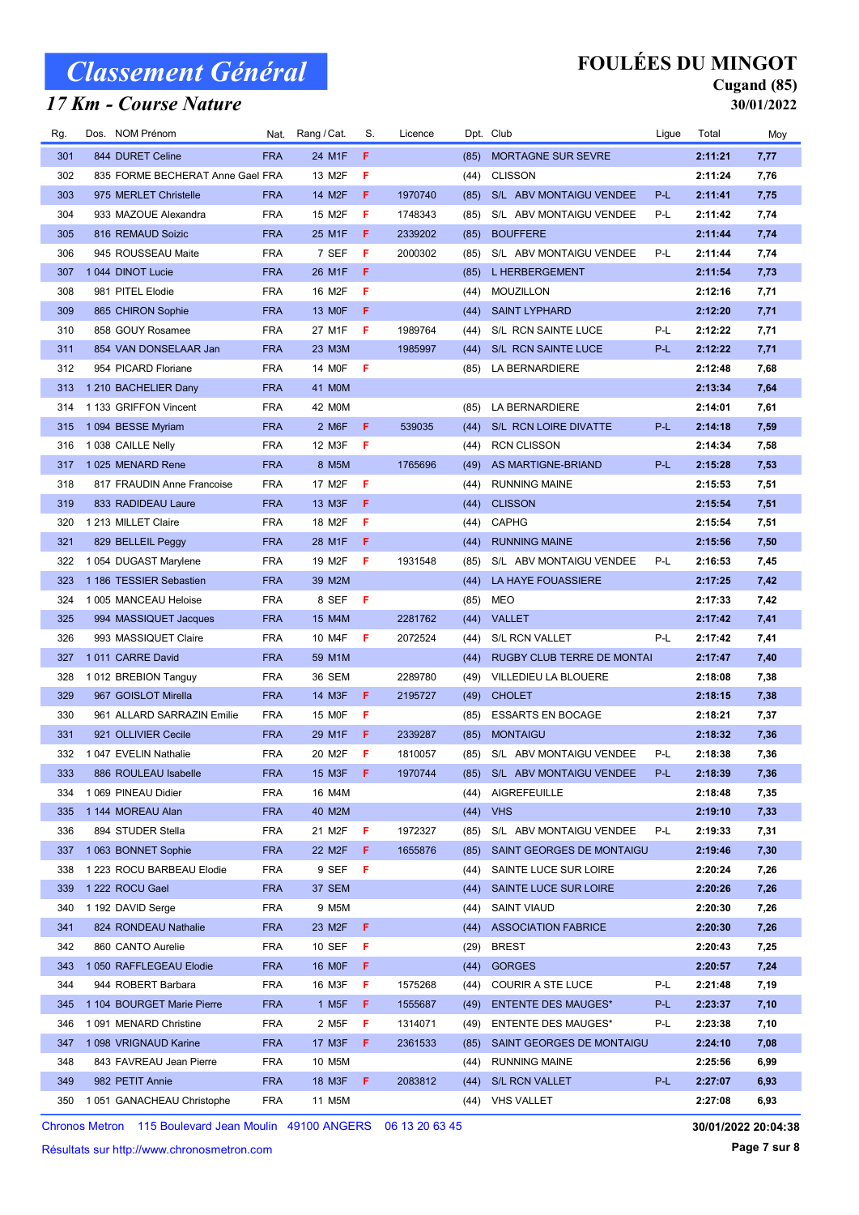### 17 Km - Course Nature

### FOULÉES DU MINGOT

#### Cugand (85) 30/01/2022

| Rg. | Dos. NOM Prénom                  |            | Nat. Rang / Cat.    | S. | Licence |      | Dpt. Club                  | Ligue | Total   | Moy  |
|-----|----------------------------------|------------|---------------------|----|---------|------|----------------------------|-------|---------|------|
| 301 | 844 DURET Celine                 | <b>FRA</b> | 24 M1F              | F  |         | (85) | <b>MORTAGNE SUR SEVRE</b>  |       | 2:11:21 | 7,77 |
| 302 | 835 FORME BECHERAT Anne Gael FRA |            | 13 M2F              | F  |         | (44) | <b>CLISSON</b>             |       | 2:11:24 | 7,76 |
| 303 | 975 MERLET Christelle            | <b>FRA</b> | 14 M2F              | F. | 1970740 | (85) | S/L ABV MONTAIGU VENDEE    | P-L   | 2:11:41 | 7,75 |
| 304 | 933 MAZOUE Alexandra             | <b>FRA</b> | 15 M2F              | F  | 1748343 | (85) | S/L ABV MONTAIGU VENDEE    | P-L   | 2:11:42 | 7,74 |
| 305 | 816 REMAUD Soizic                | <b>FRA</b> | 25 M1F              | F. | 2339202 | (85) | <b>BOUFFERE</b>            |       | 2:11:44 | 7,74 |
| 306 | 945 ROUSSEAU Maite               | <b>FRA</b> | 7 SEF               | F  | 2000302 | (85) | S/L ABV MONTAIGU VENDEE    | P-L   | 2:11:44 | 7,74 |
| 307 | 1044 DINOT Lucie                 | <b>FRA</b> | 26 M1F              | F. |         | (85) | L HERBERGEMENT             |       | 2:11:54 | 7,73 |
| 308 | 981 PITEL Elodie                 | <b>FRA</b> | 16 M2F              | F  |         | (44) | MOUZILLON                  |       | 2:12:16 | 7,71 |
| 309 | 865 CHIRON Sophie                | <b>FRA</b> | 13 MOF              | F  |         | (44) | <b>SAINT LYPHARD</b>       |       | 2:12:20 | 7,71 |
| 310 | 858 GOUY Rosamee                 | <b>FRA</b> | 27 M1F              | F  | 1989764 | (44) | S/L RCN SAINTE LUCE        | P-L   | 2:12:22 | 7,71 |
| 311 | 854 VAN DONSELAAR Jan            | <b>FRA</b> | 23 M3M              |    | 1985997 | (44) | S/L RCN SAINTE LUCE        | P-L   | 2:12:22 | 7,71 |
| 312 | 954 PICARD Floriane              | <b>FRA</b> | 14 MOF              | F  |         | (85) | LA BERNARDIERE             |       | 2:12:48 | 7,68 |
| 313 | 1 210 BACHELIER Dany             | <b>FRA</b> | 41 M0M              |    |         |      |                            |       | 2:13:34 | 7,64 |
| 314 | 1 133 GRIFFON Vincent            | <b>FRA</b> | 42 M0M              |    |         | (85) | <b>LA BERNARDIERE</b>      |       | 2:14:01 | 7,61 |
| 315 | 1094 BESSE Myriam                | <b>FRA</b> | 2 M6F               | F. | 539035  | (44) | S/L RCN LOIRE DIVATTE      | P-L   | 2:14:18 | 7,59 |
| 316 | 1038 CAILLE Nelly                | <b>FRA</b> | 12 M3F              | F. |         | (44) | <b>RCN CLISSON</b>         |       | 2:14:34 | 7,58 |
| 317 | 1025 MENARD Rene                 | <b>FRA</b> | 8 M5M               |    | 1765696 | (49) | AS MARTIGNE-BRIAND         | P-L   | 2:15:28 | 7,53 |
| 318 | 817 FRAUDIN Anne Francoise       | <b>FRA</b> | 17 M2F              | F  |         | (44) | <b>RUNNING MAINE</b>       |       | 2:15:53 | 7,51 |
| 319 | 833 RADIDEAU Laure               | <b>FRA</b> | 13 M3F              | F. |         | (44) | <b>CLISSON</b>             |       | 2:15:54 | 7,51 |
| 320 | 1 213 MILLET Claire              | <b>FRA</b> | 18 M2F              | F  |         | (44) | <b>CAPHG</b>               |       | 2:15:54 | 7,51 |
| 321 | 829 BELLEIL Peggy                | <b>FRA</b> | 28 M1F              | F. |         | (44) | <b>RUNNING MAINE</b>       |       | 2:15:56 | 7,50 |
| 322 | 1054 DUGAST Marylene             | <b>FRA</b> | 19 M2F              | F  | 1931548 | (85) | S/L ABV MONTAIGU VENDEE    | P-L   | 2:16:53 | 7,45 |
| 323 | 1 186 TESSIER Sebastien          | <b>FRA</b> | 39 M2M              |    |         | (44) | LA HAYE FOUASSIERE         |       | 2:17:25 | 7,42 |
| 324 | 1 005 MANCEAU Heloise            | <b>FRA</b> | 8 SEF               | F  |         | (85) | <b>MEO</b>                 |       | 2:17:33 | 7,42 |
| 325 | 994 MASSIQUET Jacques            | <b>FRA</b> | 15 M4M              |    | 2281762 | (44) | <b>VALLET</b>              |       | 2:17:42 | 7,41 |
| 326 | 993 MASSIQUET Claire             | <b>FRA</b> | 10 M4F              | F  | 2072524 | (44) | <b>S/L RCN VALLET</b>      | P-L   | 2:17:42 | 7,41 |
| 327 | 1011 CARRE David                 | <b>FRA</b> | 59 M1M              |    |         | (44) | RUGBY CLUB TERRE DE MONTAI |       | 2:17:47 | 7,40 |
| 328 | 1012 BREBION Tanguy              | <b>FRA</b> | 36 SEM              |    | 2289780 | (49) | VILLEDIEU LA BLOUERE       |       | 2:18:08 | 7,38 |
| 329 | 967 GOISLOT Mirella              | <b>FRA</b> | 14 M3F              | F. | 2195727 | (49) | <b>CHOLET</b>              |       | 2:18:15 | 7,38 |
| 330 | 961 ALLARD SARRAZIN Emilie       | <b>FRA</b> | 15 MOF              | F  |         | (85) | <b>ESSARTS EN BOCAGE</b>   |       | 2:18:21 | 7,37 |
| 331 | 921 OLLIVIER Cecile              | <b>FRA</b> | 29 M1F              | F. | 2339287 | (85) | <b>MONTAIGU</b>            |       | 2:18:32 | 7,36 |
| 332 | 1047 EVELIN Nathalie             | <b>FRA</b> | 20 M2F              | F  | 1810057 | (85) | S/L ABV MONTAIGU VENDEE    | P-L   | 2:18:38 | 7,36 |
| 333 | 886 ROULEAU Isabelle             | <b>FRA</b> | 15 M3F              | F  | 1970744 | (85) | S/L ABV MONTAIGU VENDEE    | P-L   | 2:18:39 | 7,36 |
| 334 | 1 069 PINEAU Didier              | <b>FRA</b> | 16 M4M              |    |         | (44) | AIGREFEUILLE               |       | 2:18:48 | 7,35 |
| 335 | 1 144 MOREAU Alan                | <b>FRA</b> | 40 M2M              |    |         | (44) | <b>VHS</b>                 |       | 2:19:10 | 7,33 |
| 336 | 894 STUDER Stella                | <b>FRA</b> | 21 M2F              | F  | 1972327 | (85) | S/L ABV MONTAIGU VENDEE    | P-L   | 2:19:33 | 7,31 |
| 337 | 1063 BONNET Sophie               | <b>FRA</b> | 22 M <sub>2</sub> F | F  | 1655876 | (85) | SAINT GEORGES DE MONTAIGU  |       | 2:19:46 | 7,30 |
| 338 | 1 223 ROCU BARBEAU Elodie        | <b>FRA</b> | 9 SEF               | F  |         | (44) | SAINTE LUCE SUR LOIRE      |       | 2:20:24 | 7,26 |
| 339 | 1 222 ROCU Gael                  | <b>FRA</b> | 37 SEM              |    |         | (44) | SAINTE LUCE SUR LOIRE      |       | 2:20:26 | 7,26 |
| 340 | 1 192 DAVID Serge                | <b>FRA</b> | 9 M5M               |    |         | (44) | <b>SAINT VIAUD</b>         |       | 2:20:30 | 7,26 |
| 341 | 824 RONDEAU Nathalie             | <b>FRA</b> | 23 M <sub>2</sub> F | F  |         | (44) | <b>ASSOCIATION FABRICE</b> |       | 2:20:30 | 7,26 |
| 342 | 860 CANTO Aurelie                | <b>FRA</b> | 10 SEF              | F  |         | (29) | <b>BREST</b>               |       | 2:20:43 | 7,25 |
| 343 | 1 050 RAFFLEGEAU Elodie          | <b>FRA</b> | 16 MOF              | F. |         | (44) | <b>GORGES</b>              |       | 2:20:57 | 7,24 |
| 344 | 944 ROBERT Barbara               | <b>FRA</b> | 16 M3F              | F  | 1575268 | (44) | COURIR A STE LUCE          | P-L   | 2:21:48 | 7,19 |
| 345 | 1 104 BOURGET Marie Pierre       | <b>FRA</b> | 1 M <sub>5</sub> F  | F. | 1555687 | (49) | <b>ENTENTE DES MAUGES*</b> | P-L   | 2:23:37 | 7,10 |
| 346 | 1 091 MENARD Christine           | <b>FRA</b> | 2 M <sub>5</sub> F  | F  | 1314071 | (49) | <b>ENTENTE DES MAUGES*</b> | P-L   | 2:23:38 | 7,10 |
| 347 | 1 098 VRIGNAUD Karine            | <b>FRA</b> | 17 M3F              | F. | 2361533 | (85) | SAINT GEORGES DE MONTAIGU  |       | 2:24:10 | 7,08 |
| 348 | 843 FAVREAU Jean Pierre          | <b>FRA</b> | 10 M5M              |    |         | (44) | <b>RUNNING MAINE</b>       |       | 2:25:56 | 6,99 |
| 349 | 982 PETIT Annie                  | <b>FRA</b> | 18 M3F              | F. | 2083812 | (44) | <b>S/L RCN VALLET</b>      | P-L   | 2:27:07 | 6,93 |
| 350 | 1051 GANACHEAU Christophe        | <b>FRA</b> | 11 M5M              |    |         | (44) | <b>VHS VALLET</b>          |       | 2:27:08 | 6,93 |